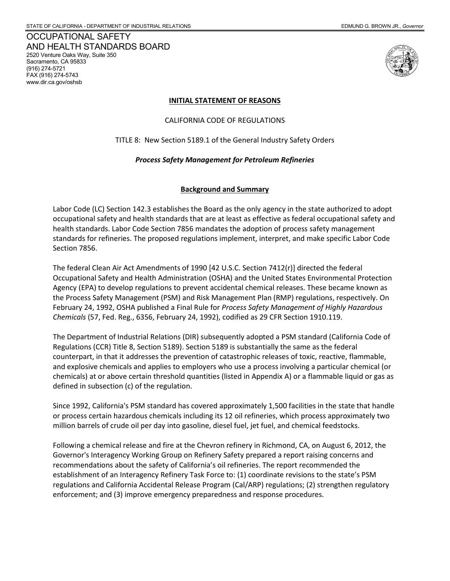OCCUPATIONAL SAFETY AND HEALTH STANDARDS BOARD 2520 Venture Oaks Way, Suite 350 Sacramento, CA 95833 (916) 274-5721 FAX (916) 274-5743 www.dir.ca.gov/oshsb



#### **INITIAL STATEMENT OF REASONS**

CALIFORNIA CODE OF REGULATIONS

TITLE 8: New Section 5189.1 of the General Industry Safety Orders

# *Process Safety Management for Petroleum Refineries*

# **Background and Summary**

 Labor Code (LC) Section 142.3 establishes the Board as the only agency in the state authorized to adopt health standards. Labor Code Section 7856 mandates the adoption of process safety management occupational safety and health standards that are at least as effective as federal occupational safety and standards for refineries. The proposed regulations implement, interpret, and make specific Labor Code Section 7856.

 February 24, 1992, OSHA published a Final Rule for *Process Safety Management of Highly Hazardous Chemicals* (57, Fed. Reg., 6356, February 24, 1992), codified as 29 CFR Section 1910.119. The federal Clean Air Act Amendments of 1990 [42 U.S.C. Section 7412(r)] directed the federal Occupational Safety and Health Administration (OSHA) and the United States Environmental Protection Agency (EPA) to develop regulations to prevent accidental chemical releases. These became known as the Process Safety Management (PSM) and Risk Management Plan (RMP) regulations, respectively. On

 counterpart, in that it addresses the prevention of catastrophic releases of toxic, reactive, flammable, The Department of Industrial Relations (DIR) subsequently adopted a PSM standard (California Code of Regulations (CCR) Title 8, Section 5189). Section 5189 is substantially the same as the federal and explosive chemicals and applies to employers who use a process involving a particular chemical (or chemicals) at or above certain threshold quantities (listed in Appendix A) or a flammable liquid or gas as defined in subsection (c) of the regulation.

 Since 1992, California's PSM standard has covered approximately 1,500 facilities in the state that handle million barrels of crude oil per day into gasoline, diesel fuel, jet fuel, and chemical feedstocks. or process certain hazardous chemicals including its 12 oil refineries, which process approximately two

 Following a chemical release and fire at the Chevron refinery in Richmond, CA, on August 6, 2012, the recommendations about the safety of California's oil refineries. The report recommended the establishment of an Interagency Refinery Task Force to: (1) coordinate revisions to the state's PSM Governor's Interagency Working Group on Refinery Safety prepared a report raising concerns and regulations and California Accidental Release Program (Cal/ARP) regulations; (2) strengthen regulatory enforcement; and (3) improve emergency preparedness and response procedures.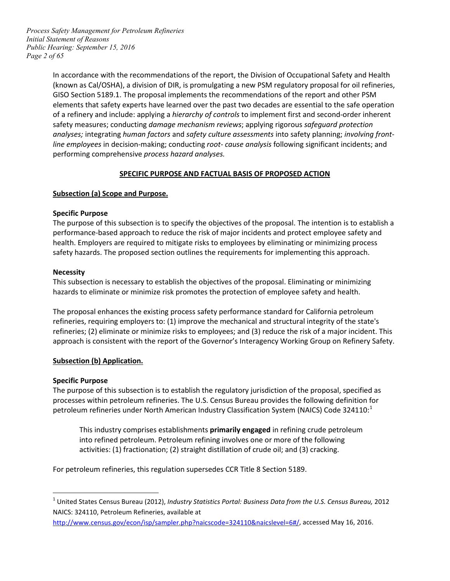*Page 2 of 65 Process Safety Management for Petroleum Refineries Initial Statement of Reasons Public Hearing: September 15, 2016* 

> In accordance with the recommendations of the report, the Division of Occupational Safety and Health GISO Section 5189.1. The proposal implements the recommendations of the report and other PSM  performing comprehensive *process hazard analyses.* (known as Cal/OSHA), a division of DIR, is promulgating a new PSM regulatory proposal for oil refineries, elements that safety experts have learned over the past two decades are essential to the safe operation of a refinery and include: applying a *hierarchy of controls* to implement first and second-order inherent safety measures; conducting *damage mechanism reviews*; applying rigorous *safeguard protection analyses;* integrating *human factors* and *safety culture assessments* into safety planning; *involving frontline employees* in decision-making; conducting *root- cause analysis* following significant incidents; and

# **SPECIFIC PURPOSE AND FACTUAL BASIS OF PROPOSED ACTION**

# **Subsection (a) Scope and Purpose.**

#### **Specific Purpose**

 The purpose of this subsection is to specify the objectives of the proposal. The intention is to establish a performance-based approach to reduce the risk of major incidents and protect employee safety and health. Employers are required to mitigate risks to employees by eliminating or minimizing process safety hazards. The proposed section outlines the requirements for implementing this approach.

#### **Necessity**

 hazards to eliminate or minimize risk promotes the protection of employee safety and health. This subsection is necessary to establish the objectives of the proposal. Eliminating or minimizing

 refineries; (2) eliminate or minimize risks to employees; and (3) reduce the risk of a major incident. This The proposal enhances the existing process safety performance standard for California petroleum refineries, requiring employers to: (1) improve the mechanical and structural integrity of the state's approach is consistent with the report of the Governor's Interagency Working Group on Refinery Safety.

#### **Subsection (b) Application.**

#### **Specific Purpose**

 $\overline{a}$ 

 The purpose of this subsection is to establish the regulatory jurisdiction of the proposal, specified as petroleum refineries under North American Industry Classification System (NAICS) Code 324110:<sup>1</sup> processes within petroleum refineries. The U.S. Census Bureau provides the following definition for

This industry comprises establishments **primarily engaged** in refining crude petroleum into refined petroleum. Petroleum refining involves one or more of the following activities: (1) fractionation; (2) straight distillation of crude oil; and (3) cracking.

For petroleum refineries, this regulation supersedes CCR Title 8 Section 5189.

<span id="page-1-0"></span> 1 United States Census Bureau (2012), *Industry Statistics Portal: Business Data from the U.S. Census Bureau,* 2012 NAICS: 324110, Petroleum Refineries, available at

 [http://www.census.gov/econ/isp/sampler.php?naicscode=324110&naicslevel=6#/,](http://www.census.gov/econ/isp/sampler.php?naicscode=324110&naicslevel=6%23/) accessed May 16, 2016.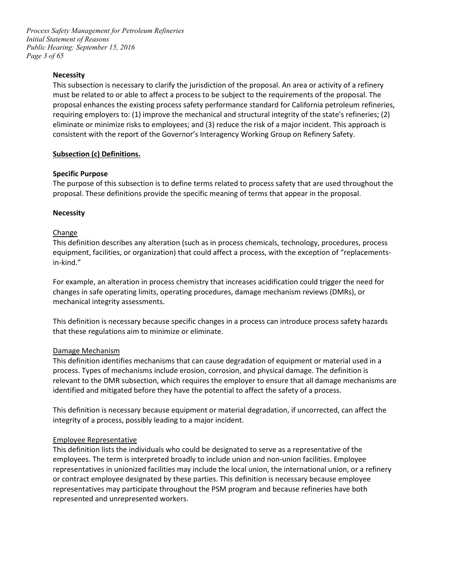*Page 3 of 65 Process Safety Management for Petroleum Refineries Initial Statement of Reasons Public Hearing: September 15, 2016* 

#### **Necessity**

 This subsection is necessary to clarify the jurisdiction of the proposal. An area or activity of a refinery requiring employers to: (1) improve the mechanical and structural integrity of the state's refineries; (2) eliminate or minimize risks to employees; and (3) reduce the risk of a major incident. This approach is must be related to or able to affect a process to be subject to the requirements of the proposal. The proposal enhances the existing process safety performance standard for California petroleum refineries, consistent with the report of the Governor's Interagency Working Group on Refinery Safety.

#### **Subsection (c) Definitions.**

#### **Specific Purpose**

The purpose of this subsection is to define terms related to process safety that are used throughout the proposal. These definitions provide the specific meaning of terms that appear in the proposal.

#### **Necessity**

#### Change

This definition describes any alteration (such as in process chemicals, technology, procedures, process equipment, facilities, or organization) that could affect a process, with the exception of "replacementsin-kind."

For example, an alteration in process chemistry that increases acidification could trigger the need for changes in safe operating limits, operating procedures, damage mechanism reviews (DMRs), or mechanical integrity assessments.

 that these regulations aim to minimize or eliminate. This definition is necessary because specific changes in a process can introduce process safety hazards

#### Damage Mechanism

 relevant to the DMR subsection, which requires the employer to ensure that all damage mechanisms are This definition identifies mechanisms that can cause degradation of equipment or material used in a process. Types of mechanisms include erosion, corrosion, and physical damage. The definition is identified and mitigated before they have the potential to affect the safety of a process.

 This definition is necessary because equipment or material degradation, if uncorrected, can affect the integrity of a process, possibly leading to a major incident.

#### Employee Representative

 representatives in unionized facilities may include the local union, the international union, or a refinery representatives may participate throughout the PSM program and because refineries have both This definition lists the individuals who could be designated to serve as a representative of the employees. The term is interpreted broadly to include union and non-union facilities. Employee or contract employee designated by these parties. This definition is necessary because employee represented and unrepresented workers.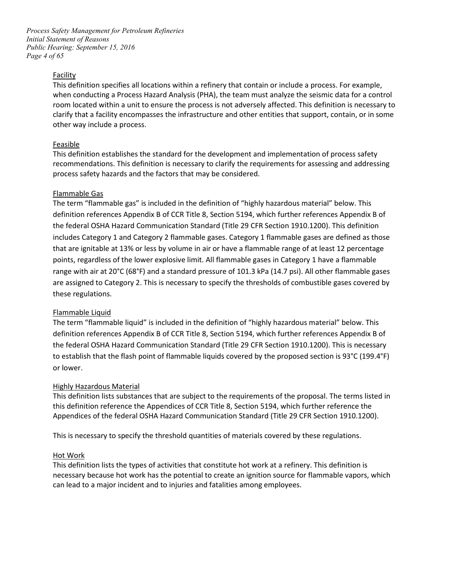*Page 4 of 65 Process Safety Management for Petroleum Refineries Initial Statement of Reasons Public Hearing: September 15, 2016* 

#### Facility

 when conducting a Process Hazard Analysis (PHA), the team must analyze the seismic data for a control room located within a unit to ensure the process is not adversely affected. This definition is necessary to This definition specifies all locations within a refinery that contain or include a process. For example, clarify that a facility encompasses the infrastructure and other entities that support, contain, or in some other way include a process.

#### Feasible

 process safety hazards and the factors that may be considered. This definition establishes the standard for the development and implementation of process safety recommendations. This definition is necessary to clarify the requirements for assessing and addressing

#### Flammable Gas

 The term "flammable gas" is included in the definition of "highly hazardous material" below. This definition references Appendix B of CCR Title 8, Section 5194, which further references Appendix B of includes Category 1 and Category 2 flammable gases. Category 1 flammable gases are defined as those that are ignitable at 13% or less by volume in air or have a flammable range of at least 12 percentage are assigned to Category 2. This is necessary to specify the thresholds of combustible gases covered by the federal OSHA Hazard Communication Standard (Title 29 CFR Section 1910.1200). This definition points, regardless of the lower explosive limit. All flammable gases in Category 1 have a flammable range with air at 20°C (68°F) and a standard pressure of 101.3 kPa (14.7 psi). All other flammable gases these regulations.

#### Flammable Liquid

 definition references Appendix B of CCR Title 8, Section 5194, which further references Appendix B of the federal OSHA Hazard Communication Standard (Title 29 CFR Section 1910.1200). This is necessary to establish that the flash point of flammable liquids covered by the proposed section is 93°C (199.4°F) The term "flammable liquid" is included in the definition of "highly hazardous material" below. This or lower.

#### Highly Hazardous Material

 Appendices of the federal OSHA Hazard Communication Standard (Title 29 CFR Section 1910.1200). This definition lists substances that are subject to the requirements of the proposal. The terms listed in this definition reference the Appendices of CCR Title 8, Section 5194, which further reference the

This is necessary to specify the threshold quantities of materials covered by these regulations.<br>Hot Work

 can lead to a major incident and to injuries and fatalities among employees. This definition lists the types of activities that constitute hot work at a refinery. This definition is necessary because hot work has the potential to create an ignition source for flammable vapors, which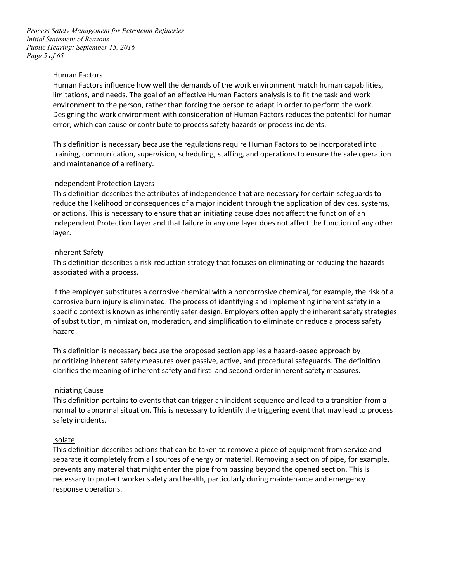*Page 5 of 65 Process Safety Management for Petroleum Refineries Initial Statement of Reasons Public Hearing: September 15, 2016* 

#### Human Factors

 Human Factors influence how well the demands of the work environment match human capabilities, Designing the work environment with consideration of Human Factors reduces the potential for human limitations, and needs. The goal of an effective Human Factors analysis is to fit the task and work environment to the person, rather than forcing the person to adapt in order to perform the work. error, which can cause or contribute to process safety hazards or process incidents.

 This definition is necessary because the regulations require Human Factors to be incorporated into training, communication, supervision, scheduling, staffing, and operations to ensure the safe operation and maintenance of a refinery.

#### Independent Protection Layers

 or actions. This is necessary to ensure that an initiating cause does not affect the function of an Independent Protection Layer and that failure in any one layer does not affect the function of any other This definition describes the attributes of independence that are necessary for certain safeguards to reduce the likelihood or consequences of a major incident through the application of devices, systems, layer.

#### Inherent Safety

 This definition describes a risk-reduction strategy that focuses on eliminating or reducing the hazards associated with a process.

 corrosive burn injury is eliminated. The process of identifying and implementing inherent safety in a of substitution, minimization, moderation, and simplification to eliminate or reduce a process safety If the employer substitutes a corrosive chemical with a noncorrosive chemical, for example, the risk of a specific context is known as inherently safer design. Employers often apply the inherent safety strategies hazard.

 This definition is necessary because the proposed section applies a hazard-based approach by prioritizing inherent safety measures over passive, active, and procedural safeguards. The definition clarifies the meaning of inherent safety and first- and second-order inherent safety measures.

#### Initiating Cause

This definition pertains to events that can trigger an incident sequence and lead to a transition from a normal to abnormal situation. This is necessary to identify the triggering event that may lead to process safety incidents.

#### **Isolate**

 separate it completely from all sources of energy or material. Removing a section of pipe, for example, prevents any material that might enter the pipe from passing beyond the opened section. This is This definition describes actions that can be taken to remove a piece of equipment from service and necessary to protect worker safety and health, particularly during maintenance and emergency response operations.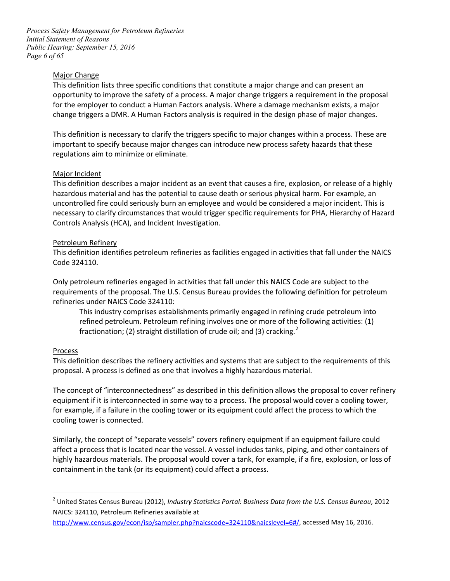*Page 6 of 65 Process Safety Management for Petroleum Refineries Initial Statement of Reasons Public Hearing: September 15, 2016* 

#### Major Change

 for the employer to conduct a Human Factors analysis. Where a damage mechanism exists, a major This definition lists three specific conditions that constitute a major change and can present an opportunity to improve the safety of a process. A major change triggers a requirement in the proposal change triggers a DMR. A Human Factors analysis is required in the design phase of major changes.

 This definition is necessary to clarify the triggers specific to major changes within a process. These are important to specify because major changes can introduce new process safety hazards that these regulations aim to minimize or eliminate.

# Major Incident

 This definition describes a major incident as an event that causes a fire, explosion, or release of a highly necessary to clarify circumstances that would trigger specific requirements for PHA, Hierarchy of Hazard hazardous material and has the potential to cause death or serious physical harm. For example, an uncontrolled fire could seriously burn an employee and would be considered a major incident. This is Controls Analysis (HCA), and Incident Investigation.

#### Petroleum Refinery

This definition identifies petroleum refineries as facilities engaged in activities that fall under the NAICS Code 324110.

Only petroleum refineries engaged in activities that fall under this NAICS Code are subject to the requirements of the proposal. The U.S. Census Bureau provides the following definition for petroleum refineries under NAICS Code 324110:

fractionation; (2) straight distillation of crude oil; and (3) cracking.<sup>2</sup> This industry comprises establishments primarily engaged in refining crude petroleum into refined petroleum. Petroleum refining involves one or more of the following activities: (1)

#### Process

 $\overline{a}$ 

This definition describes the refinery activities and systems that are subject to the requirements of this proposal. A process is defined as one that involves a highly hazardous material.

 for example, if a failure in the cooling tower or its equipment could affect the process to which the The concept of "interconnectedness" as described in this definition allows the proposal to cover refinery equipment if it is interconnected in some way to a process. The proposal would cover a cooling tower, cooling tower is connected.

 Similarly, the concept of "separate vessels" covers refinery equipment if an equipment failure could affect a process that is located near the vessel. A vessel includes tanks, piping, and other containers of highly hazardous materials. The proposal would cover a tank, for example, if a fire, explosion, or loss of containment in the tank (or its equipment) could affect a process.

<span id="page-5-0"></span> NAICS: 324110, Petroleum Refineries available at <sup>2</sup> United States Census Bureau (2012), *Industry Statistics Portal: Business Data from the U.S. Census Bureau*, 2012

[http://www.census.gov/econ/isp/sampler.php?naicscode=324110&naicslevel=6#/,](http://www.census.gov/econ/isp/sampler.php?naicscode=324110&naicslevel=6%23/) accessed May 16, 2016.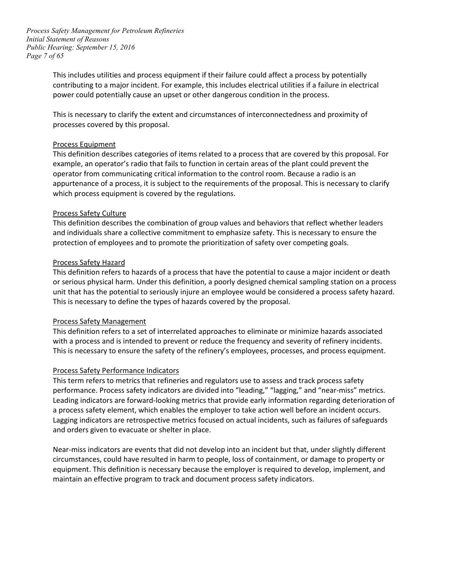*Page 7 of 65 Process Safety Management for Petroleum Refineries Initial Statement of Reasons Public Hearing: September 15, 2016* 

> This includes utilities and process equipment if their failure could affect a process by potentially contributing to a major incident. For example, this includes electrical utilities if a failure in electrical power could potentially cause an upset or other dangerous condition in the process.

This is necessary to clarify the extent and circumstances of interconnectedness and proximity of processes covered by this proposal.

#### Process Equipment

This definition describes categories of items related to a process that are covered by this proposal. For example, an operator's radio that fails to function in certain areas of the plant could prevent the operator from communicating critical information to the control room. Because a radio is an appurtenance of a process, it is subject to the requirements of the proposal. This is necessary to clarify which process equipment is covered by the regulations.

#### Process Safety Culture

 This definition describes the combination of group values and behaviors that reflect whether leaders and individuals share a collective commitment to emphasize safety. This is necessary to ensure the protection of employees and to promote the prioritization of safety over competing goals.

#### Process Safety Hazard

 This definition refers to hazards of a process that have the potential to cause a major incident or death This is necessary to define the types of hazards covered by the proposal. or serious physical harm. Under this definition, a poorly designed chemical sampling station on a process unit that has the potential to seriously injure an employee would be considered a process safety hazard.

#### Process Safety Management

 with a process and is intended to prevent or reduce the frequency and severity of refinery incidents. This definition refers to a set of interrelated approaches to eliminate or minimize hazards associated This is necessary to ensure the safety of the refinery's employees, processes, and process equipment.

#### Process Safety Performance Indicators

 This term refers to metrics that refineries and regulators use to assess and track process safety and orders given to evacuate or shelter in place. performance. Process safety indicators are divided into "leading," "lagging," and "near-miss" metrics. Leading indicators are forward-looking metrics that provide early information regarding deterioration of a process safety element, which enables the employer to take action well before an incident occurs. Lagging indicators are retrospective metrics focused on actual incidents, such as failures of safeguards

 circumstances, could have resulted in harm to people, loss of containment, or damage to property or Near-miss indicators are events that did not develop into an incident but that, under slightly different equipment. This definition is necessary because the employer is required to develop, implement, and maintain an effective program to track and document process safety indicators.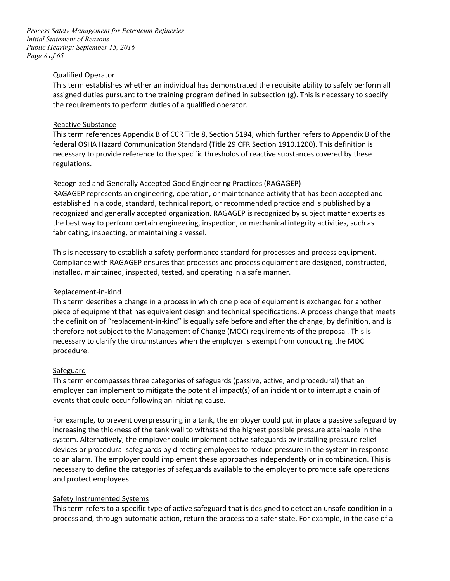*Page 8 of 65 Process Safety Management for Petroleum Refineries Initial Statement of Reasons Public Hearing: September 15, 2016* 

#### Qualified Operator

 assigned duties pursuant to the training program defined in subsection (g). This is necessary to specify the requirements to perform duties of a qualified operator. This term establishes whether an individual has demonstrated the requisite ability to safely perform all

#### Reactive Substance

 This term references Appendix B of CCR Title 8, Section 5194, which further refers to Appendix B of the federal OSHA Hazard Communication Standard (Title 29 CFR Section 1910.1200). This definition is necessary to provide reference to the specific thresholds of reactive substances covered by these regulations.

#### Recognized and Generally Accepted Good Engineering Practices (RAGAGEP)

 RAGAGEP represents an engineering, operation, or maintenance activity that has been accepted and recognized and generally accepted organization. RAGAGEP is recognized by subject matter experts as fabricating, inspecting, or maintaining a vessel. established in a code, standard, technical report, or recommended practice and is published by a the best way to perform certain engineering, inspection, or mechanical integrity activities, such as

 installed, maintained, inspected, tested, and operating in a safe manner. This is necessary to establish a safety performance standard for processes and process equipment. Compliance with RAGAGEP ensures that processes and process equipment are designed, constructed,

#### Replacement-in-kind

 piece of equipment that has equivalent design and technical specifications. A process change that meets the definition of "replacement-in-kind" is equally safe before and after the change, by definition, and is therefore not subject to the Management of Change (MOC) requirements of the proposal. This is necessary to clarify the circumstances when the employer is exempt from conducting the MOC This term describes a change in a process in which one piece of equipment is exchanged for another procedure.

#### **Safeguard**

 employer can implement to mitigate the potential impact(s) of an incident or to interrupt a chain of This term encompasses three categories of safeguards (passive, active, and procedural) that an events that could occur following an initiating cause.

 to an alarm. The employer could implement these approaches independently or in combination. This is necessary to define the categories of safeguards available to the employer to promote safe operations For example, to prevent overpressuring in a tank, the employer could put in place a passive safeguard by increasing the thickness of the tank wall to withstand the highest possible pressure attainable in the system. Alternatively, the employer could implement active safeguards by installing pressure relief devices or procedural safeguards by directing employees to reduce pressure in the system in response and protect employees.

#### Safety Instrumented Systems

This term refers to a specific type of active safeguard that is designed to detect an unsafe condition in a process and, through automatic action, return the process to a safer state. For example, in the case of a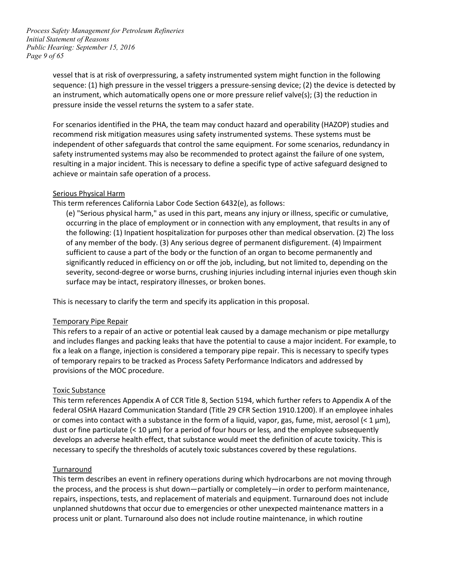*Page 9 of 65 Process Safety Management for Petroleum Refineries Initial Statement of Reasons Public Hearing: September 15, 2016* 

> an instrument, which automatically opens one or more pressure relief valve(s); (3) the reduction in vessel that is at risk of overpressuring, a safety instrumented system might function in the following sequence: (1) high pressure in the vessel triggers a pressure-sensing device; (2) the device is detected by pressure inside the vessel returns the system to a safer state.

 For scenarios identified in the PHA, the team may conduct hazard and operability (HAZOP) studies and recommend risk mitigation measures using safety instrumented systems. These systems must be independent of other safeguards that control the same equipment. For some scenarios, redundancy in safety instrumented systems may also be recommended to protect against the failure of one system, resulting in a major incident. This is necessary to define a specific type of active safeguard designed to achieve or maintain safe operation of a process.

#### Serious Physical Harm

This term references California Labor Code Section 6432(e), as follows:

 occurring in the place of employment or in connection with any employment, that results in any of sufficient to cause a part of the body or the function of an organ to become permanently and significantly reduced in efficiency on or off the job, including, but not limited to, depending on the severity, second-degree or worse burns, crushing injuries including internal injuries even though skin surface may be intact, respiratory illnesses, or broken bones. (e) "Serious physical harm," as used in this part, means any injury or illness, specific or cumulative, the following: (1) Inpatient hospitalization for purposes other than medical observation. (2) The loss of any member of the body. (3) Any serious degree of permanent disfigurement. (4) Impairment

This is necessary to clarify the term and specify its application in this proposal.

# Temporary Pipe Repair

 This refers to a repair of an active or potential leak caused by a damage mechanism or pipe metallurgy and includes flanges and packing leaks that have the potential to cause a major incident. For example, to of temporary repairs to be tracked as Process Safety Performance Indicators and addressed by fix a leak on a flange, injection is considered a temporary pipe repair. This is necessary to specify types provisions of the MOC procedure.

# Toxic Substance

 This term references Appendix A of CCR Title 8, Section 5194, which further refers to Appendix A of the federal OSHA Hazard Communication Standard (Title 29 CFR Section 1910.1200). If an employee inhales or comes into contact with a substance in the form of a liquid, vapor, gas, fume, mist, aerosol (< 1 µm), necessary to specify the thresholds of acutely toxic substances covered by these regulations. dust or fine particulate (< 10 µm) for a period of four hours or less*,* and the employee subsequently develops an adverse health effect, that substance would meet the definition of acute toxicity. This is

#### Turnaround

 the process, and the process is shut down—partially or completely—in order to perform maintenance, unplanned shutdowns that occur due to emergencies or other unexpected maintenance matters in a This term describes an event in refinery operations during which hydrocarbons are not moving through repairs, inspections, tests, and replacement of materials and equipment. Turnaround does not include process unit or plant. Turnaround also does not include routine maintenance, in which routine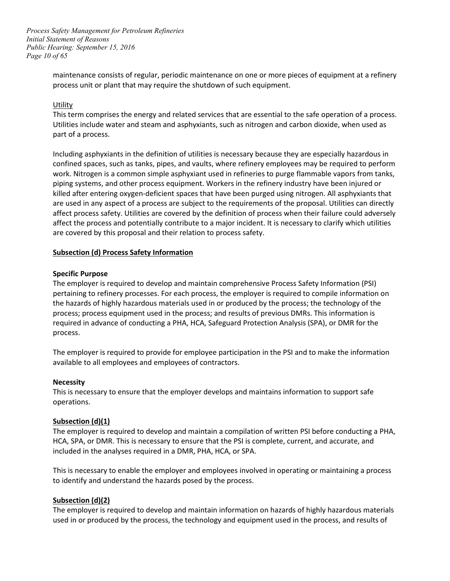*Page 10 of 65 Process Safety Management for Petroleum Refineries Initial Statement of Reasons Public Hearing: September 15, 2016* 

> maintenance consists of regular, periodic maintenance on one or more pieces of equipment at a refinery process unit or plant that may require the shutdown of such equipment.

#### **Utility**

This term comprises the energy and related services that are essential to the safe operation of a process. Utilities include water and steam and asphyxiants, such as nitrogen and carbon dioxide, when used as part of a process.

 confined spaces, such as tanks, pipes, and vaults, where refinery employees may be required to perform piping systems, and other process equipment. Workers in the refinery industry have been injured or killed after entering oxygen-deficient spaces that have been purged using nitrogen. All asphyxiants that are used in any aspect of a process are subject to the requirements of the proposal. Utilities can directly Including asphyxiants in the definition of utilities is necessary because they are especially hazardous in work. Nitrogen is a common simple asphyxiant used in refineries to purge flammable vapors from tanks, affect process safety. Utilities are covered by the definition of process when their failure could adversely affect the process and potentially contribute to a major incident. It is necessary to clarify which utilities are covered by this proposal and their relation to process safety.

#### **Subsection (d) Process Safety Information**

#### **Specific Purpose**

 pertaining to refinery processes. For each process, the employer is required to compile information on the hazards of highly hazardous materials used in or produced by the process; the technology of the process. The employer is required to develop and maintain comprehensive Process Safety Information (PSI) process; process equipment used in the process; and results of previous DMRs. This information is required in advance of conducting a PHA, HCA, Safeguard Protection Analysis (SPA), or DMR for the

process.<br>The employer is required to provide for employee participation in the PSI and to make the information available to all employees and employees of contractors.

#### **Necessity**

 This is necessary to ensure that the employer develops and maintains information to support safe operations.

#### **Subsection (d)(1)**

 HCA, SPA, or DMR. This is necessary to ensure that the PSI is complete, current, and accurate, and The employer is required to develop and maintain a compilation of written PSI before conducting a PHA, included in the analyses required in a DMR, PHA, HCA, or SPA.

 This is necessary to enable the employer and employees involved in operating or maintaining a process to identify and understand the hazards posed by the process.

#### **Subsection (d)(2)**

 The employer is required to develop and maintain information on hazards of highly hazardous materials used in or produced by the process, the technology and equipment used in the process, and results of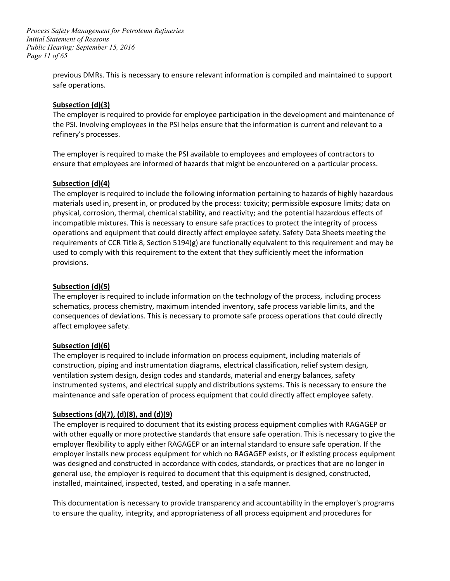*Page 11 of 65 Process Safety Management for Petroleum Refineries Initial Statement of Reasons Public Hearing: September 15, 2016* 

> previous DMRs. This is necessary to ensure relevant information is compiled and maintained to support safe operations.

# **Subsection (d)(3)**

refinery's processes. The employer is required to provide for employee participation in the development and maintenance of the PSI. Involving employees in the PSI helps ensure that the information is current and relevant to a

refinery's processes.<br>The employer is required to make the PSI available to employees and employees of contractors to ensure that employees are informed of hazards that might be encountered on a particular process.

#### **Subsection (d)(4)**

 operations and equipment that could directly affect employee safety. Safety Data Sheets meeting the requirements of CCR Title 8, Section 5194(g) are functionally equivalent to this requirement and may be used to comply with this requirement to the extent that they sufficiently meet the information provisions. The employer is required to include the following information pertaining to hazards of highly hazardous materials used in, present in, or produced by the process: toxicity; permissible exposure limits; data on physical, corrosion, thermal, chemical stability, and reactivity; and the potential hazardous effects of incompatible mixtures. This is necessary to ensure safe practices to protect the integrity of process

#### **Subsection (d)(5)**

The employer is required to include information on the technology of the process, including process schematics, process chemistry, maximum intended inventory, safe process variable limits, and the consequences of deviations. This is necessary to promote safe process operations that could directly affect employee safety.

# **Subsection (d)(6)**

The employer is required to include information on process equipment, including materials of construction, piping and instrumentation diagrams, electrical classification, relief system design, ventilation system design, design codes and standards, material and energy balances, safety instrumented systems, and electrical supply and distributions systems. This is necessary to ensure the maintenance and safe operation of process equipment that could directly affect employee safety.

# **Subsections (d)(7), (d)(8), and (d)(9)**

 with other equally or more protective standards that ensure safe operation. This is necessary to give the employer flexibility to apply either RAGAGEP or an internal standard to ensure safe operation. If the employer installs new process equipment for which no RAGAGEP exists, or if existing process equipment installed, maintained, inspected, tested, and operating in a safe manner. The employer is required to document that its existing process equipment complies with RAGAGEP or was designed and constructed in accordance with codes, standards, or practices that are no longer in general use, the employer is required to document that this equipment is designed, constructed,

This documentation is necessary to provide transparency and accountability in the employer's programs to ensure the quality, integrity, and appropriateness of all process equipment and procedures for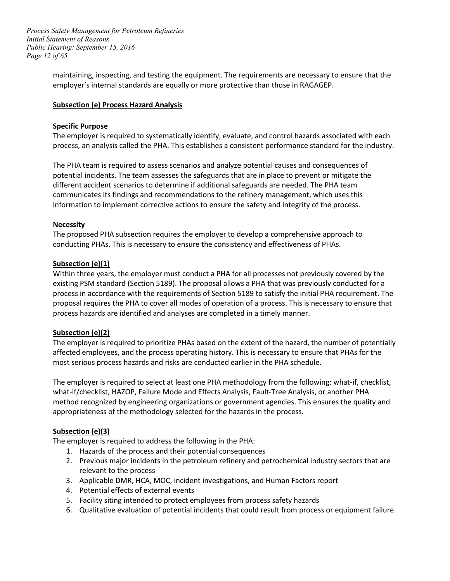*Page 12 of 65 Process Safety Management for Petroleum Refineries Initial Statement of Reasons Public Hearing: September 15, 2016* 

> employer's internal standards are equally or more protective than those in RAGAGEP. maintaining, inspecting, and testing the equipment. The requirements are necessary to ensure that the

#### **Subsection (e) Process Hazard Analysis**

#### **Specific Purpose**

 The employer is required to systematically identify, evaluate, and control hazards associated with each process, an analysis called the PHA. This establishes a consistent performance standard for the industry.

 The PHA team is required to assess scenarios and analyze potential causes and consequences of communicates its findings and recommendations to the refinery management, which uses this information to implement corrective actions to ensure the safety and integrity of the process. potential incidents. The team assesses the safeguards that are in place to prevent or mitigate the different accident scenarios to determine if additional safeguards are needed. The PHA team

#### **Necessity**

The proposed PHA subsection requires the employer to develop a comprehensive approach to conducting PHAs. This is necessary to ensure the consistency and effectiveness of PHAs.

#### **Subsection (e)(1)**

 Within three years, the employer must conduct a PHA for all processes not previously covered by the existing PSM standard (Section 5189). The proposal allows a PHA that was previously conducted for a proposal requires the PHA to cover all modes of operation of a process. This is necessary to ensure that process hazards are identified and analyses are completed in a timely manner. process in accordance with the requirements of Section 5189 to satisfy the initial PHA requirement. The

#### **Subsection (e)(2)**

 most serious process hazards and risks are conducted earlier in the PHA schedule. The employer is required to prioritize PHAs based on the extent of the hazard, the number of potentially affected employees, and the process operating history. This is necessary to ensure that PHAs for the

 method recognized by engineering organizations or government agencies. This ensures the quality and The employer is required to select at least one PHA methodology from the following: what-if, checklist, what-if/checklist, HAZOP, Failure Mode and Effects Analysis, Fault-Tree Analysis, or another PHA appropriateness of the methodology selected for the hazards in the process.

#### **Subsection (e)(3)**

The employer is required to address the following in the PHA:

- 1. Hazards of the process and their potential consequences
- 2. Previous major incidents in the petroleum refinery and petrochemical industry sectors that are relevant to the process
- 3. Applicable DMR, HCA, MOC, incident investigations, and Human Factors report
- 4. Potential effects of external events
- 5. Facility siting intended to protect employees from process safety hazards
- 6. Qualitative evaluation of potential incidents that could result from process or equipment failure.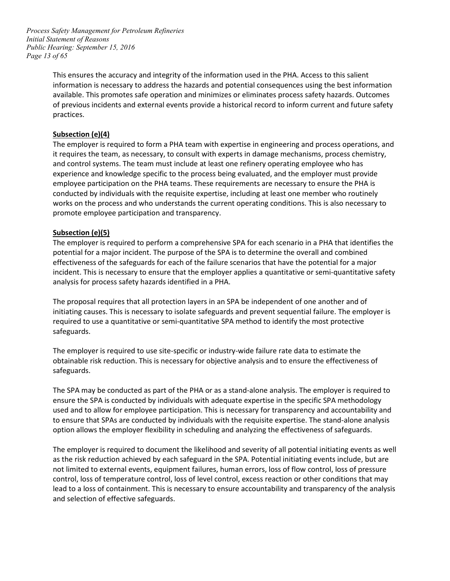*Page 13 of 65 Process Safety Management for Petroleum Refineries Initial Statement of Reasons Public Hearing: September 15, 2016* 

> This ensures the accuracy and integrity of the information used in the PHA. Access to this salient practices. information is necessary to address the hazards and potential consequences using the best information available. This promotes safe operation and minimizes or eliminates process safety hazards. Outcomes of previous incidents and external events provide a historical record to inform current and future safety

# **Subsection (e)(4)**

 The employer is required to form a PHA team with expertise in engineering and process operations, and it requires the team, as necessary, to consult with experts in damage mechanisms, process chemistry, conducted by individuals with the requisite expertise, including at least one member who routinely and control systems. The team must include at least one refinery operating employee who has experience and knowledge specific to the process being evaluated, and the employer must provide employee participation on the PHA teams. These requirements are necessary to ensure the PHA is works on the process and who understands the current operating conditions. This is also necessary to promote employee participation and transparency.

# **Subsection (e)(5)**

 potential for a major incident. The purpose of the SPA is to determine the overall and combined The employer is required to perform a comprehensive SPA for each scenario in a PHA that identifies the effectiveness of the safeguards for each of the failure scenarios that have the potential for a major incident. This is necessary to ensure that the employer applies a quantitative or semi-quantitative safety analysis for process safety hazards identified in a PHA.

 The proposal requires that all protection layers in an SPA be independent of one another and of initiating causes. This is necessary to isolate safeguards and prevent sequential failure. The employer is required to use a quantitative or semi-quantitative SPA method to identify the most protective safeguards.

The employer is required to use site-specific or industry-wide failure rate data to estimate the obtainable risk reduction. This is necessary for objective analysis and to ensure the effectiveness of safeguards.

 The SPA may be conducted as part of the PHA or as a stand-alone analysis. The employer is required to ensure the SPA is conducted by individuals with adequate expertise in the specific SPA methodology used and to allow for employee participation. This is necessary for transparency and accountability and to ensure that SPAs are conducted by individuals with the requisite expertise. The stand-alone analysis option allows the employer flexibility in scheduling and analyzing the effectiveness of safeguards.

 not limited to external events, equipment failures, human errors, loss of flow control, loss of pressure control, loss of temperature control, loss of level control, excess reaction or other conditions that may lead to a loss of containment. This is necessary to ensure accountability and transparency of the analysis The employer is required to document the likelihood and severity of all potential initiating events as well as the risk reduction achieved by each safeguard in the SPA. Potential initiating events include, but are and selection of effective safeguards.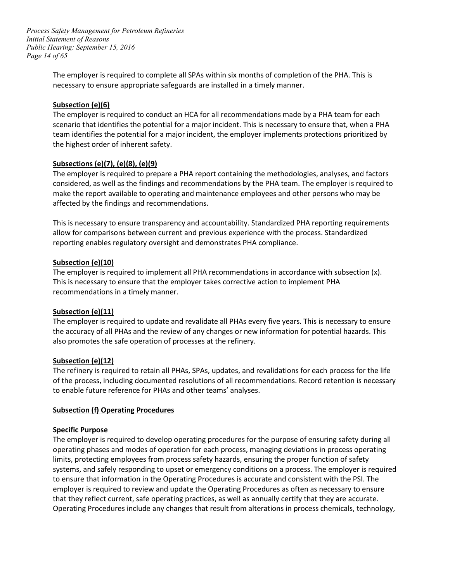*Page 14 of 65 Process Safety Management for Petroleum Refineries Initial Statement of Reasons Public Hearing: September 15, 2016* 

> The employer is required to complete all SPAs within six months of completion of the PHA. This is necessary to ensure appropriate safeguards are installed in a timely manner.

#### **Subsection (e)(6)**

 scenario that identifies the potential for a major incident. This is necessary to ensure that, when a PHA The employer is required to conduct an HCA for all recommendations made by a PHA team for each team identifies the potential for a major incident, the employer implements protections prioritized by the highest order of inherent safety.

# **Subsections (e)(7), (e)(8), (e)(9)**

 make the report available to operating and maintenance employees and other persons who may be The employer is required to prepare a PHA report containing the methodologies, analyses, and factors considered, as well as the findings and recommendations by the PHA team. The employer is required to affected by the findings and recommendations.

 This is necessary to ensure transparency and accountability. Standardized PHA reporting requirements allow for comparisons between current and previous experience with the process. Standardized reporting enables regulatory oversight and demonstrates PHA compliance.

#### **Subsection (e)(10)**

 The employer is required to implement all PHA recommendations in accordance with subsection (x). recommendations in a timely manner. This is necessary to ensure that the employer takes corrective action to implement PHA

#### **Subsection (e)(11)**

 The employer is required to update and revalidate all PHAs every five years. This is necessary to ensure the accuracy of all PHAs and the review of any changes or new information for potential hazards. This also promotes the safe operation of processes at the refinery.

#### **Subsection (e)(12)**

 The refinery is required to retain all PHAs, SPAs, updates, and revalidations for each process for the life to enable future reference for PHAs and other teams' analyses. of the process, including documented resolutions of all recommendations. Record retention is necessary

#### **Subsection (f) Operating Procedures**

#### **Specific Purpose**

 The employer is required to develop operating procedures for the purpose of ensuring safety during all operating phases and modes of operation for each process, managing deviations in process operating limits, protecting employees from process safety hazards, ensuring the proper function of safety to ensure that information in the Operating Procedures is accurate and consistent with the PSI. The employer is required to review and update the Operating Procedures as often as necessary to ensure systems, and safely responding to upset or emergency conditions on a process. The employer is required that they reflect current, safe operating practices, as well as annually certify that they are accurate. Operating Procedures include any changes that result from alterations in process chemicals, technology,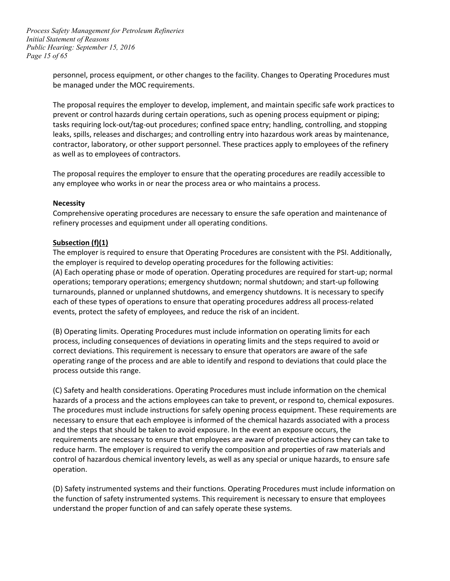*Page 15 of 65 Process Safety Management for Petroleum Refineries Initial Statement of Reasons Public Hearing: September 15, 2016* 

> personnel, process equipment, or other changes to the facility. Changes to Operating Procedures must be managed under the MOC requirements.

 prevent or control hazards during certain operations, such as opening process equipment or piping; contractor, laboratory, or other support personnel. These practices apply to employees of the refinery The proposal requires the employer to develop, implement, and maintain specific safe work practices to tasks requiring lock-out/tag-out procedures; confined space entry; handling, controlling, and stopping leaks, spills, releases and discharges; and controlling entry into hazardous work areas by maintenance, as well as to employees of contractors.

 The proposal requires the employer to ensure that the operating procedures are readily accessible to any employee who works in or near the process area or who maintains a process.

#### **Necessity**

 Comprehensive operating procedures are necessary to ensure the safe operation and maintenance of refinery processes and equipment under all operating conditions.

#### **Subsection (f)(1)**

 turnarounds, planned or unplanned shutdowns, and emergency shutdowns. It is necessary to specify each of these types of operations to ensure that operating procedures address all process-related The employer is required to ensure that Operating Procedures are consistent with the PSI. Additionally, the employer is required to develop operating procedures for the following activities: (A) Each operating phase or mode of operation. Operating procedures are required for start-up; normal operations; temporary operations; emergency shutdown; normal shutdown; and start-up following events, protect the safety of employees, and reduce the risk of an incident.

 (B) Operating limits. Operating Procedures must include information on operating limits for each process, including consequences of deviations in operating limits and the steps required to avoid or correct deviations. This requirement is necessary to ensure that operators are aware of the safe operating range of the process and are able to identify and respond to deviations that could place the process outside this range.

 hazards of a process and the actions employees can take to prevent, or respond to, chemical exposures. requirements are necessary to ensure that employees are aware of protective actions they can take to reduce harm. The employer is required to verify the composition and properties of raw materials and control of hazardous chemical inventory levels, as well as any special or unique hazards, to ensure safe (C) Safety and health considerations. Operating Procedures must include information on the chemical The procedures must include instructions for safely opening process equipment. These requirements are necessary to ensure that each employee is informed of the chemical hazards associated with a process and the steps that should be taken to avoid exposure. In the event an exposure occurs, the operation.

 (D) Safety instrumented systems and their functions. Operating Procedures must include information on understand the proper function of and can safely operate these systems. the function of safety instrumented systems. This requirement is necessary to ensure that employees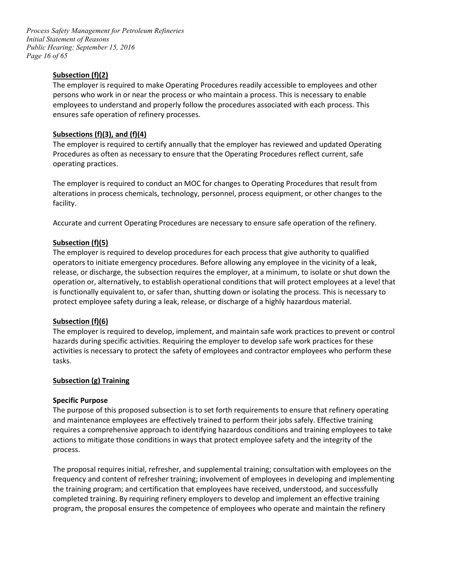*Page 16 of 65 Process Safety Management for Petroleum Refineries Initial Statement of Reasons Public Hearing: September 15, 2016* 

# **Subsection (f)(2)**

 The employer is required to make Operating Procedures readily accessible to employees and other persons who work in or near the process or who maintain a process. This is necessary to enable employees to understand and properly follow the procedures associated with each process. This ensures safe operation of refinery processes.

# **Subsections (f)(3), and (f)(4)**

The employer is required to certify annually that the employer has reviewed and updated Operating Procedures as often as necessary to ensure that the Operating Procedures reflect current, safe operating practices.

 alterations in process chemicals, technology, personnel, process equipment, or other changes to the The employer is required to conduct an MOC for changes to Operating Procedures that result from facility.

Accurate and current Operating Procedures are necessary to ensure safe operation of the refinery.

# **Subsection (f)(5)**

 operators to initiate emergency procedures. Before allowing any employee in the vicinity of a leak, is functionally equivalent to, or safer than, shutting down or isolating the process. This is necessary to The employer is required to develop procedures for each process that give authority to qualified release, or discharge, the subsection requires the employer, at a minimum, to isolate or shut down the operation or, alternatively, to establish operational conditions that will protect employees at a level that protect employee safety during a leak, release, or discharge of a highly hazardous material.

#### **Subsection (f)(6)**

 hazards during specific activities. Requiring the employer to develop safe work practices for these activities is necessary to protect the safety of employees and contractor employees who perform these The employer is required to develop, implement, and maintain safe work practices to prevent or control tasks.

#### **Subsection (g) Training**

#### **Specific Purpose**

 The purpose of this proposed subsection is to set forth requirements to ensure that refinery operating and maintenance employees are effectively trained to perform their jobs safely. Effective training requires a comprehensive approach to identifying hazardous conditions and training employees to take actions to mitigate those conditions in ways that protect employee safety and the integrity of the process.

 The proposal requires initial, refresher, and supplemental training; consultation with employees on the frequency and content of refresher training; involvement of employees in developing and implementing the training program; and certification that employees have received, understood, and successfully completed training. By requiring refinery employers to develop and implement an effective training program, the proposal ensures the competence of employees who operate and maintain the refinery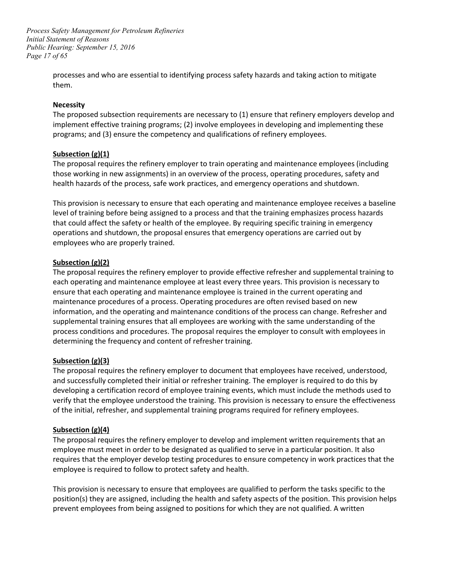*Page 17 of 65 Process Safety Management for Petroleum Refineries Initial Statement of Reasons Public Hearing: September 15, 2016* 

> processes and who are essential to identifying process safety hazards and taking action to mitigate them.

#### **Necessity**

 programs; and (3) ensure the competency and qualifications of refinery employees. The proposed subsection requirements are necessary to (1) ensure that refinery employers develop and implement effective training programs; (2) involve employees in developing and implementing these

#### **Subsection (g)(1)**

 The proposal requires the refinery employer to train operating and maintenance employees (including those working in new assignments) in an overview of the process, operating procedures, safety and health hazards of the process, safe work practices, and emergency operations and shutdown.

 This provision is necessary to ensure that each operating and maintenance employee receives a baseline operations and shutdown, the proposal ensures that emergency operations are carried out by level of training before being assigned to a process and that the training emphasizes process hazards that could affect the safety or health of the employee. By requiring specific training in emergency employees who are properly trained.

#### **Subsection (g)(2)**

 The proposal requires the refinery employer to provide effective refresher and supplemental training to supplemental training ensures that all employees are working with the same understanding of the determining the frequency and content of refresher training. each operating and maintenance employee at least every three years. This provision is necessary to ensure that each operating and maintenance employee is trained in the current operating and maintenance procedures of a process. Operating procedures are often revised based on new information, and the operating and maintenance conditions of the process can change. Refresher and process conditions and procedures. The proposal requires the employer to consult with employees in

#### **Subsection (g)(3)**

 The proposal requires the refinery employer to document that employees have received, understood, and successfully completed their initial or refresher training. The employer is required to do this by developing a certification record of employee training events, which must include the methods used to verify that the employee understood the training. This provision is necessary to ensure the effectiveness of the initial, refresher, and supplemental training programs required for refinery employees.

#### **Subsection (g)(4)**

 The proposal requires the refinery employer to develop and implement written requirements that an employee must meet in order to be designated as qualified to serve in a particular position. It also requires that the employer develop testing procedures to ensure competency in work practices that the employee is required to follow to protect safety and health.

 This provision is necessary to ensure that employees are qualified to perform the tasks specific to the position(s) they are assigned, including the health and safety aspects of the position. This provision helps prevent employees from being assigned to positions for which they are not qualified. A written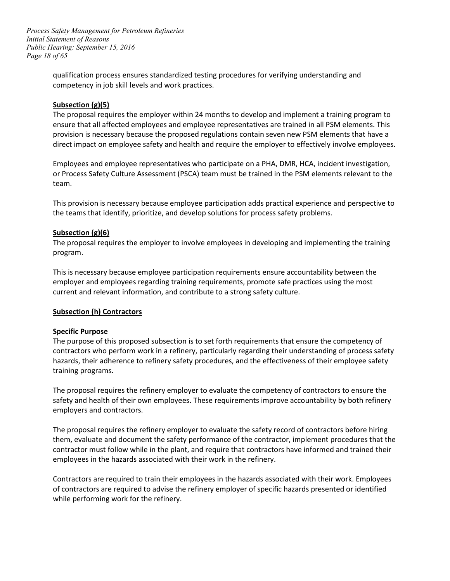*Page 18 of 65 Process Safety Management for Petroleum Refineries Initial Statement of Reasons Public Hearing: September 15, 2016* 

> competency in job skill levels and work practices. qualification process ensures standardized testing procedures for verifying understanding and

#### **Subsection (g)(5)**

 provision is necessary because the proposed regulations contain seven new PSM elements that have a direct impact on employee safety and health and require the employer to effectively involve employees. The proposal requires the employer within 24 months to develop and implement a training program to ensure that all affected employees and employee representatives are trained in all PSM elements. This

Employees and employee representatives who participate on a PHA, DMR, HCA, incident investigation, or Process Safety Culture Assessment (PSCA) team must be trained in the PSM elements relevant to the team.

 This provision is necessary because employee participation adds practical experience and perspective to the teams that identify, prioritize, and develop solutions for process safety problems.

# **Subsection (g)(6)**

 The proposal requires the employer to involve employees in developing and implementing the training program.

 employer and employees regarding training requirements, promote safe practices using the most current and relevant information, and contribute to a strong safety culture. This is necessary because employee participation requirements ensure accountability between the

#### **Subsection (h) Contractors**

#### **Specific Purpose**

 hazards, their adherence to refinery safety procedures, and the effectiveness of their employee safety The purpose of this proposed subsection is to set forth requirements that ensure the competency of contractors who perform work in a refinery, particularly regarding their understanding of process safety training programs.

 The proposal requires the refinery employer to evaluate the competency of contractors to ensure the safety and health of their own employees. These requirements improve accountability by both refinery employers and contractors.

 The proposal requires the refinery employer to evaluate the safety record of contractors before hiring them, evaluate and document the safety performance of the contractor, implement procedures that the contractor must follow while in the plant, and require that contractors have informed and trained their employees in the hazards associated with their work in the refinery.

Contractors are required to train their employees in the hazards associated with their work. Employees of contractors are required to advise the refinery employer of specific hazards presented or identified while performing work for the refinery.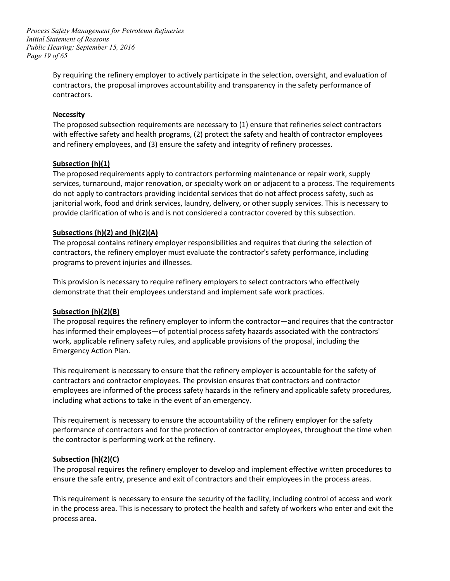*Page 19 of 65 Process Safety Management for Petroleum Refineries Initial Statement of Reasons Public Hearing: September 15, 2016* 

> By requiring the refinery employer to actively participate in the selection, oversight, and evaluation of contractors, the proposal improves accountability and transparency in the safety performance of contractors.

#### **Necessity**

 and refinery employees, and (3) ensure the safety and integrity of refinery processes. The proposed subsection requirements are necessary to (1) ensure that refineries select contractors with effective safety and health programs, (2) protect the safety and health of contractor employees

#### **Subsection (h)(1)**

 services, turnaround, major renovation, or specialty work on or adjacent to a process. The requirements do not apply to contractors providing incidental services that do not affect process safety, such as The proposed requirements apply to contractors performing maintenance or repair work, supply janitorial work, food and drink services, laundry, delivery, or other supply services. This is necessary to provide clarification of who is and is not considered a contractor covered by this subsection.

#### **Subsections (h)(2) and (h)(2)(A)**

 The proposal contains refinery employer responsibilities and requires that during the selection of contractors, the refinery employer must evaluate the contractor's safety performance, including programs to prevent injuries and illnesses.

This provision is necessary to require refinery employers to select contractors who effectively demonstrate that their employees understand and implement safe work practices.

#### **Subsection (h)(2)(B)**

 The proposal requires the refinery employer to inform the contractor—and requires that the contractor work, applicable refinery safety rules, and applicable provisions of the proposal, including the has informed their employees—of potential process safety hazards associated with the contractors' Emergency Action Plan.

 This requirement is necessary to ensure that the refinery employer is accountable for the safety of contractors and contractor employees. The provision ensures that contractors and contractor employees are informed of the process safety hazards in the refinery and applicable safety procedures, including what actions to take in the event of an emergency.

 performance of contractors and for the protection of contractor employees, throughout the time when This requirement is necessary to ensure the accountability of the refinery employer for the safety the contractor is performing work at the refinery.

#### **Subsection (h)(2)(C)**

 The proposal requires the refinery employer to develop and implement effective written procedures to ensure the safe entry, presence and exit of contractors and their employees in the process areas.

 This requirement is necessary to ensure the security of the facility, including control of access and work in the process area. This is necessary to protect the health and safety of workers who enter and exit the process area.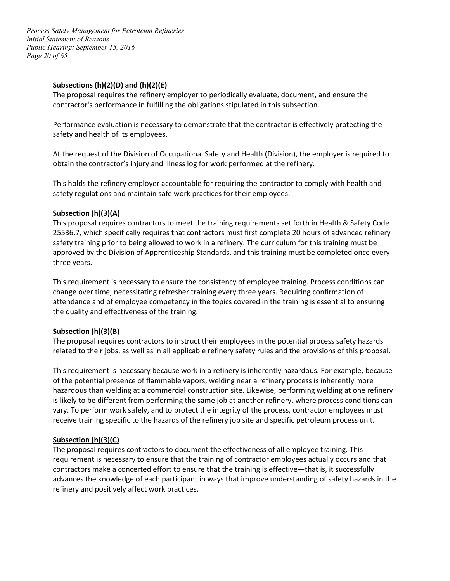*Page 20 of 65 Process Safety Management for Petroleum Refineries Initial Statement of Reasons Public Hearing: September 15, 2016* 

#### **Subsections (h)(2)(D) and (h)(2)(E)**

 The proposal requires the refinery employer to periodically evaluate, document, and ensure the contractor's performance in fulfilling the obligations stipulated in this subsection.

 Performance evaluation is necessary to demonstrate that the contractor is effectively protecting the safety and health of its employees.

 At the request of the Division of Occupational Safety and Health (Division), the employer is required to obtain the contractor's injury and illness log for work performed at the refinery.

 This holds the refinery employer accountable for requiring the contractor to comply with health and safety regulations and maintain safe work practices for their employees.

#### **Subsection (h)(3)(A)**

 approved by the Division of Apprenticeship Standards, and this training must be completed once every This proposal requires contractors to meet the training requirements set forth in Health & Safety Code 25536.7, which specifically requires that contractors must first complete 20 hours of advanced refinery safety training prior to being allowed to work in a refinery. The curriculum for this training must be three years.

 change over time, necessitating refresher training every three years. Requiring confirmation of attendance and of employee competency in the topics covered in the training is essential to ensuring the quality and effectiveness of the training. This requirement is necessary to ensure the consistency of employee training. Process conditions can

#### **Subsection (h)(3)(B)**

 related to their jobs, as well as in all applicable refinery safety rules and the provisions of this proposal. The proposal requires contractors to instruct their employees in the potential process safety hazards

 of the potential presence of flammable vapors, welding near a refinery process is inherently more hazardous than welding at a commercial construction site. Likewise, performing welding at one refinery receive training specific to the hazards of the refinery job site and specific petroleum process unit. This requirement is necessary because work in a refinery is inherently hazardous. For example, because is likely to be different from performing the same job at another refinery, where process conditions can vary. To perform work safely, and to protect the integrity of the process, contractor employees must

# **Subsection (h)(3)(C)**

 advances the knowledge of each participant in ways that improve understanding of safety hazards in the The proposal requires contractors to document the effectiveness of all employee training. This requirement is necessary to ensure that the training of contractor employees actually occurs and that contractors make a concerted effort to ensure that the training is effective—that is, it successfully refinery and positively affect work practices.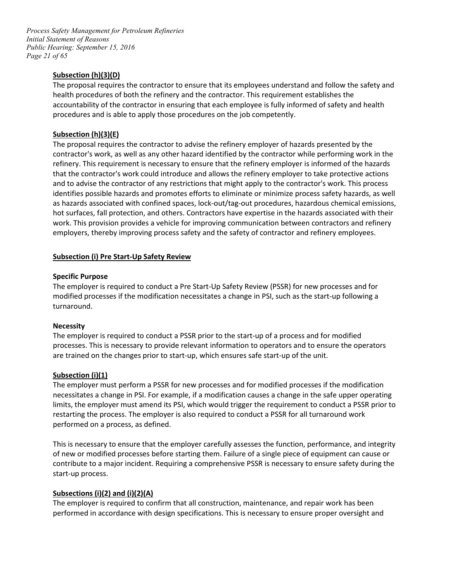*Page 21 of 65 Process Safety Management for Petroleum Refineries Initial Statement of Reasons Public Hearing: September 15, 2016* 

# **Subsection (h)(3)(D)**

 health procedures of both the refinery and the contractor. This requirement establishes the accountability of the contractor in ensuring that each employee is fully informed of safety and health procedures and is able to apply those procedures on the job competently. The proposal requires the contractor to ensure that its employees understand and follow the safety and

# **Subsection (h)(3)(E)**

 refinery. This requirement is necessary to ensure that the refinery employer is informed of the hazards that the contractor's work could introduce and allows the refinery employer to take protective actions and to advise the contractor of any restrictions that might apply to the contractor's work. This process hot surfaces, fall protection, and others. Contractors have expertise in the hazards associated with their employers, thereby improving process safety and the safety of contractor and refinery employees. The proposal requires the contractor to advise the refinery employer of hazards presented by the contractor's work, as well as any other hazard identified by the contractor while performing work in the identifies possible hazards and promotes efforts to eliminate or minimize process safety hazards, as well as hazards associated with confined spaces, lock-out/tag-out procedures, hazardous chemical emissions, work. This provision provides a vehicle for improving communication between contractors and refinery

#### **Subsection (i) Pre Start-Up Safety Review**

#### **Specific Purpose**

 turnaround. The employer is required to conduct a Pre Start-Up Safety Review (PSSR) for new processes and for modified processes if the modification necessitates a change in PSI, such as the start-up following a

#### **Necessity**

 processes. This is necessary to provide relevant information to operators and to ensure the operators are trained on the changes prior to start-up, which ensures safe start-up of the unit. The employer is required to conduct a PSSR prior to the start-up of a process and for modified

#### **Subsection (i)(1)**

 limits, the employer must amend its PSI, which would trigger the requirement to conduct a PSSR prior to The employer must perform a PSSR for new processes and for modified processes if the modification necessitates a change in PSI. For example, if a modification causes a change in the safe upper operating restarting the process. The employer is also required to conduct a PSSR for all turnaround work performed on a process, as defined.

 This is necessary to ensure that the employer carefully assesses the function, performance, and integrity of new or modified processes before starting them. Failure of a single piece of equipment can cause or contribute to a major incident. Requiring a comprehensive PSSR is necessary to ensure safety during the start-up process.

# **Subsections (i)(2) and (i)(2)(A)**

 performed in accordance with design specifications. This is necessary to ensure proper oversight and The employer is required to confirm that all construction, maintenance, and repair work has been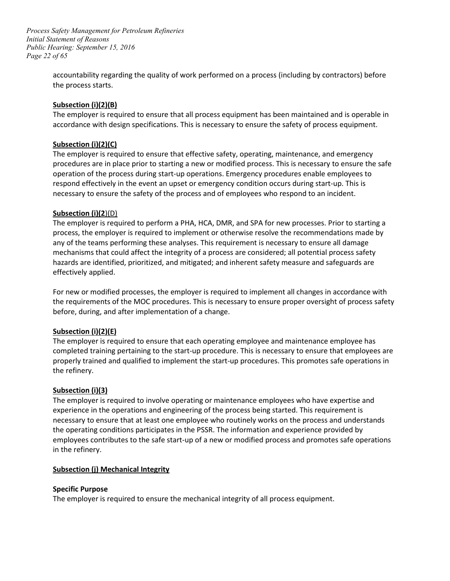*Page 22 of 65 Process Safety Management for Petroleum Refineries Initial Statement of Reasons Public Hearing: September 15, 2016* 

> accountability regarding the quality of work performed on a process (including by contractors) before the process starts.

# **Subsection (i)(2)(B)**

The employer is required to ensure that all process equipment has been maintained and is operable in accordance with design specifications. This is necessary to ensure the safety of process equipment.

# **Subsection (i)(2)(C)**

 necessary to ensure the safety of the process and of employees who respond to an incident. The employer is required to ensure that effective safety, operating, maintenance, and emergency procedures are in place prior to starting a new or modified process. This is necessary to ensure the safe operation of the process during start-up operations. Emergency procedures enable employees to respond effectively in the event an upset or emergency condition occurs during start-up. This is

#### Subsection (i)(2)(D)

 process, the employer is required to implement or otherwise resolve the recommendations made by mechanisms that could affect the integrity of a process are considered; all potential process safety The employer is required to perform a PHA, HCA, DMR, and SPA for new processes. Prior to starting a any of the teams performing these analyses. This requirement is necessary to ensure all damage hazards are identified, prioritized, and mitigated; and inherent safety measure and safeguards are effectively applied.

 For new or modified processes, the employer is required to implement all changes in accordance with the requirements of the MOC procedures. This is necessary to ensure proper oversight of process safety before, during, and after implementation of a change.

# **Subsection (i)(2)(E)**

The employer is required to ensure that each operating employee and maintenance employee has completed training pertaining to the start-up procedure. This is necessary to ensure that employees are properly trained and qualified to implement the start-up procedures. This promotes safe operations in the refinery.

#### **Subsection (i)(3)**

 the operating conditions participates in the PSSR. The information and experience provided by employees contributes to the safe start-up of a new or modified process and promotes safe operations The employer is required to involve operating or maintenance employees who have expertise and experience in the operations and engineering of the process being started. This requirement is necessary to ensure that at least one employee who routinely works on the process and understands in the refinery.

#### **Subsection (j) Mechanical Integrity**

#### **Specific Purpose**

The employer is required to ensure the mechanical integrity of all process equipment.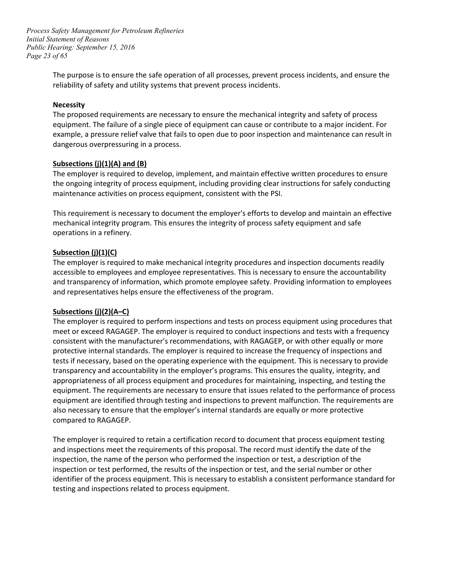*Page 23 of 65 Process Safety Management for Petroleum Refineries Initial Statement of Reasons Public Hearing: September 15, 2016* 

> The purpose is to ensure the safe operation of all processes, prevent process incidents, and ensure the reliability of safety and utility systems that prevent process incidents.

#### **Necessity**

 The proposed requirements are necessary to ensure the mechanical integrity and safety of process equipment. The failure of a single piece of equipment can cause or contribute to a major incident. For example, a pressure relief valve that fails to open due to poor inspection and maintenance can result in dangerous overpressuring in a process.

#### **Subsections (j)(1)(A) and (B)**

 maintenance activities on process equipment, consistent with the PSI. The employer is required to develop, implement, and maintain effective written procedures to ensure the ongoing integrity of process equipment, including providing clear instructions for safely conducting

 This requirement is necessary to document the employer's efforts to develop and maintain an effective mechanical integrity program. This ensures the integrity of process safety equipment and safe operations in a refinery.

#### **Subsection (j)(1)(C)**

 The employer is required to make mechanical integrity procedures and inspection documents readily accessible to employees and employee representatives. This is necessary to ensure the accountability and transparency of information, which promote employee safety. Providing information to employees and representatives helps ensure the effectiveness of the program.

#### **Subsections (j)(2)(A–C)**

 consistent with the manufacturer's recommendations, with RAGAGEP, or with other equally or more equipment. The requirements are necessary to ensure that issues related to the performance of process also necessary to ensure that the employer's internal standards are equally or more protective The employer is required to perform inspections and tests on process equipment using procedures that meet or exceed RAGAGEP. The employer is required to conduct inspections and tests with a frequency protective internal standards. The employer is required to increase the frequency of inspections and tests if necessary, based on the operating experience with the equipment. This is necessary to provide transparency and accountability in the employer's programs. This ensures the quality, integrity, and appropriateness of all process equipment and procedures for maintaining, inspecting, and testing the equipment are identified through testing and inspections to prevent malfunction. The requirements are compared to RAGAGEP.

 inspection or test performed, the results of the inspection or test, and the serial number or other identifier of the process equipment. This is necessary to establish a consistent performance standard for The employer is required to retain a certification record to document that process equipment testing and inspections meet the requirements of this proposal. The record must identify the date of the inspection, the name of the person who performed the inspection or test, a description of the testing and inspections related to process equipment.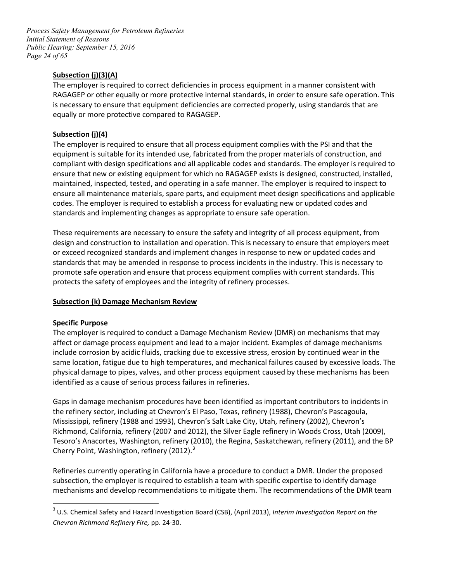*Page 24 of 65 Process Safety Management for Petroleum Refineries Initial Statement of Reasons Public Hearing: September 15, 2016* 

# **Subsection (j)(3)(A)**

 RAGAGEP or other equally or more protective internal standards, in order to ensure safe operation. This The employer is required to correct deficiencies in process equipment in a manner consistent with is necessary to ensure that equipment deficiencies are corrected properly, using standards that are equally or more protective compared to RAGAGEP.

# **Subsection (j)(4)**

 codes. The employer is required to establish a process for evaluating new or updated codes and standards and implementing changes as appropriate to ensure safe operation. The employer is required to ensure that all process equipment complies with the PSI and that the equipment is suitable for its intended use, fabricated from the proper materials of construction, and compliant with design specifications and all applicable codes and standards. The employer is required to ensure that new or existing equipment for which no RAGAGEP exists is designed, constructed, installed, maintained, inspected, tested, and operating in a safe manner. The employer is required to inspect to ensure all maintenance materials, spare parts, and equipment meet design specifications and applicable

 design and construction to installation and operation. This is necessary to ensure that employers meet standards that may be amended in response to process incidents in the industry. This is necessary to These requirements are necessary to ensure the safety and integrity of all process equipment, from or exceed recognized standards and implement changes in response to new or updated codes and promote safe operation and ensure that process equipment complies with current standards. This protects the safety of employees and the integrity of refinery processes.

#### **Subsection (k) Damage Mechanism Review**

#### **Specific Purpose**

 $\overline{a}$ 

 The employer is required to conduct a Damage Mechanism Review (DMR) on mechanisms that may include corrosion by acidic fluids, cracking due to excessive stress, erosion by continued wear in the same location, fatigue due to high temperatures, and mechanical failures caused by excessive loads. The affect or damage process equipment and lead to a major incident. Examples of damage mechanisms physical damage to pipes, valves, and other process equipment caused by these mechanisms has been identified as a cause of serious process failures in refineries.

 the refinery sector, including at Chevron's El Paso, Texas, refinery (1988), Chevron's Pascagoula, Mississippi, refinery (1988 and 1993), Chevron's Salt Lake City, Utah, refinery (2002), Chevron's Tesoro's Anacortes, Washington, refinery (2010), the Regina, Saskatchewan, refinery (2011), and the BP Gaps in damage mechanism procedures have been identified as important contributors to incidents in Richmond, California, refinery (2007 and 2012), the Silver Eagle refinery in Woods Cross, Utah (2009), Cherry Point, Washington, refinery (2012).<sup>3</sup>

Refineries currently operating in California have a procedure to conduct a DMR. Under the proposed subsection, the employer is required to establish a team with specific expertise to identify damage mechanisms and develop recommendations to mitigate them. The recommendations of the DMR team

<span id="page-23-0"></span> *Chevron Richmond Refinery Fire,* pp. 24-30. 3 U.S. Chemical Safety and Hazard Investigation Board (CSB), (April 2013), *Interim Investigation Report on the*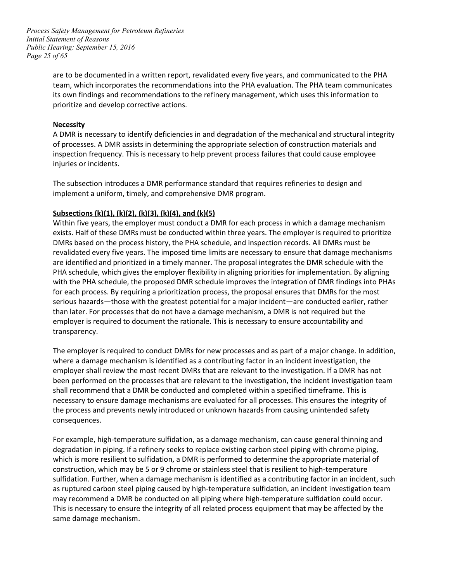*Page 25 of 65 Process Safety Management for Petroleum Refineries Initial Statement of Reasons Public Hearing: September 15, 2016* 

> are to be documented in a written report, revalidated every five years, and communicated to the PHA its own findings and recommendations to the refinery management, which uses this information to team, which incorporates the recommendations into the PHA evaluation. The PHA team communicates prioritize and develop corrective actions.

#### **Necessity**

 inspection frequency. This is necessary to help prevent process failures that could cause employee A DMR is necessary to identify deficiencies in and degradation of the mechanical and structural integrity of processes. A DMR assists in determining the appropriate selection of construction materials and injuries or incidents.

 implement a uniform, timely, and comprehensive DMR program. The subsection introduces a DMR performance standard that requires refineries to design and

#### **Subsections (k)(1), (k)(2), (k)(3), (k)(4), and (k)(5)**

 Within five years, the employer must conduct a DMR for each process in which a damage mechanism exists. Half of these DMRs must be conducted within three years. The employer is required to prioritize DMRs based on the process history, the PHA schedule, and inspection records. All DMRs must be are identified and prioritized in a timely manner. The proposal integrates the DMR schedule with the with the PHA schedule, the proposed DMR schedule improves the integration of DMR findings into PHAs for each process. By requiring a prioritization process, the proposal ensures that DMRs for the most revalidated every five years. The imposed time limits are necessary to ensure that damage mechanisms PHA schedule, which gives the employer flexibility in aligning priorities for implementation. By aligning serious hazards—those with the greatest potential for a major incident—are conducted earlier, rather than later. For processes that do not have a damage mechanism, a DMR is not required but the employer is required to document the rationale. This is necessary to ensure accountability and transparency.

 The employer is required to conduct DMRs for new processes and as part of a major change. In addition, where a damage mechanism is identified as a contributing factor in an incident investigation, the employer shall review the most recent DMRs that are relevant to the investigation. If a DMR has not been performed on the processes that are relevant to the investigation, the incident investigation team shall recommend that a DMR be conducted and completed within a specified timeframe. This is necessary to ensure damage mechanisms are evaluated for all processes. This ensures the integrity of the process and prevents newly introduced or unknown hazards from causing unintended safety consequences.

 construction, which may be 5 or 9 chrome or stainless steel that is resilient to high-temperature sulfidation. Further, when a damage mechanism is identified as a contributing factor in an incident, such This is necessary to ensure the integrity of all related process equipment that may be affected by the For example, high-temperature sulfidation, as a damage mechanism, can cause general thinning and degradation in piping. If a refinery seeks to replace existing carbon steel piping with chrome piping, which is more resilient to sulfidation, a DMR is performed to determine the appropriate material of as ruptured carbon steel piping caused by high-temperature sulfidation, an incident investigation team may recommend a DMR be conducted on all piping where high-temperature sulfidation could occur. same damage mechanism.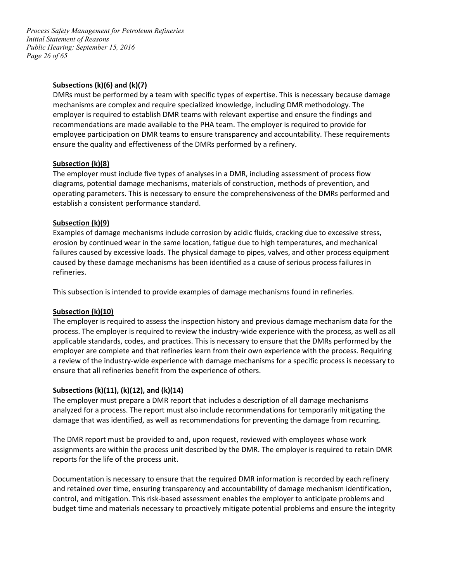*Page 26 of 65 Process Safety Management for Petroleum Refineries Initial Statement of Reasons Public Hearing: September 15, 2016* 

#### **Subsections (k)(6) and (k)(7)**

 employer is required to establish DMR teams with relevant expertise and ensure the findings and ensure the quality and effectiveness of the DMRs performed by a refinery. DMRs must be performed by a team with specific types of expertise. This is necessary because damage mechanisms are complex and require specialized knowledge, including DMR methodology. The recommendations are made available to the PHA team. The employer is required to provide for employee participation on DMR teams to ensure transparency and accountability. These requirements

#### **Subsection (k)(8)**

 diagrams, potential damage mechanisms, materials of construction, methods of prevention, and operating parameters. This is necessary to ensure the comprehensiveness of the DMRs performed and The employer must include five types of analyses in a DMR, including assessment of process flow establish a consistent performance standard.

# **Subsection (k)(9)**

 failures caused by excessive loads. The physical damage to pipes, valves, and other process equipment Examples of damage mechanisms include corrosion by acidic fluids, cracking due to excessive stress, erosion by continued wear in the same location, fatigue due to high temperatures, and mechanical caused by these damage mechanisms has been identified as a cause of serious process failures in refineries.

This subsection is intended to provide examples of damage mechanisms found in refineries.

#### **Subsection (k)(10)**

 process. The employer is required to review the industry-wide experience with the process, as well as all employer are complete and that refineries learn from their own experience with the process. Requiring a review of the industry-wide experience with damage mechanisms for a specific process is necessary to ensure that all refineries benefit from the experience of others. The employer is required to assess the inspection history and previous damage mechanism data for the applicable standards, codes, and practices. This is necessary to ensure that the DMRs performed by the

# **Subsections (k)(11), (k)(12), and (k)(14)**

 damage that was identified, as well as recommendations for preventing the damage from recurring. The employer must prepare a DMR report that includes a description of all damage mechanisms analyzed for a process. The report must also include recommendations for temporarily mitigating the

The DMR report must be provided to and, upon request, reviewed with employees whose work assignments are within the process unit described by the DMR. The employer is required to retain DMR reports for the life of the process unit.

 Documentation is necessary to ensure that the required DMR information is recorded by each refinery budget time and materials necessary to proactively mitigate potential problems and ensure the integrity and retained over time, ensuring transparency and accountability of damage mechanism identification, control, and mitigation. This risk-based assessment enables the employer to anticipate problems and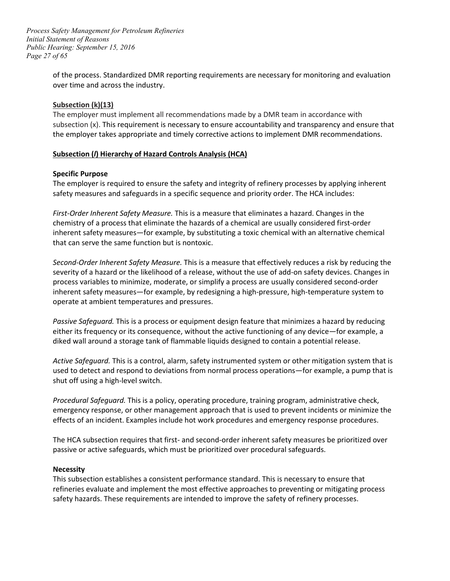*Page 27 of 65 Process Safety Management for Petroleum Refineries Initial Statement of Reasons Public Hearing: September 15, 2016* 

> of the process. Standardized DMR reporting requirements are necessary for monitoring and evaluation over time and across the industry.

#### **Subsection (k)(13)**

 subsection (x). This requirement is necessary to ensure accountability and transparency and ensure that The employer must implement all recommendations made by a DMR team in accordance with the employer takes appropriate and timely corrective actions to implement DMR recommendations.

#### **Subsection (***l***) Hierarchy of Hazard Controls Analysis (HCA)**

#### **Specific Purpose**

 safety measures and safeguards in a specific sequence and priority order. The HCA includes: The employer is required to ensure the safety and integrity of refinery processes by applying inherent

 chemistry of a process that eliminate the hazards of a chemical are usually considered first-order that can serve the same function but is nontoxic. *First-Order Inherent Safety Measure.* This is a measure that eliminates a hazard. Changes in the inherent safety measures—for example, by substituting a toxic chemical with an alternative chemical

*Second-Order Inherent Safety Measure.* This is a measure that effectively reduces a risk by reducing the severity of a hazard or the likelihood of a release, without the use of add-on safety devices. Changes in process variables to minimize, moderate, or simplify a process are usually considered second-order inherent safety measures—for example, by redesigning a high-pressure, high-temperature system to operate at ambient temperatures and pressures.

 *Passive Safeguard.* This is a process or equipment design feature that minimizes a hazard by reducing either its frequency or its consequence, without the active functioning of any device—for example, a diked wall around a storage tank of flammable liquids designed to contain a potential release.

 *Active Safeguard.* This is a control, alarm, safety instrumented system or other mitigation system that is used to detect and respond to deviations from normal process operations—for example, a pump that is shut off using a high-level switch.

 *Procedural Safeguard.* This is a policy, operating procedure, training program, administrative check, emergency response, or other management approach that is used to prevent incidents or minimize the effects of an incident. Examples include hot work procedures and emergency response procedures.

 The HCA subsection requires that first- and second-order inherent safety measures be prioritized over passive or active safeguards, which must be prioritized over procedural safeguards.

#### **Necessity**

 This subsection establishes a consistent performance standard. This is necessary to ensure that refineries evaluate and implement the most effective approaches to preventing or mitigating process safety hazards. These requirements are intended to improve the safety of refinery processes.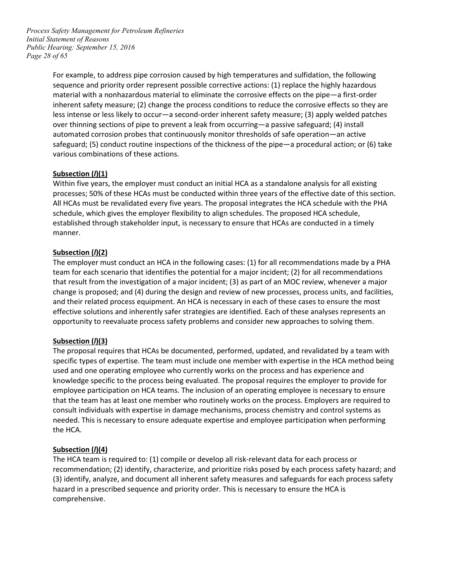*Page 28 of 65 Process Safety Management for Petroleum Refineries Initial Statement of Reasons Public Hearing: September 15, 2016* 

> material with a nonhazardous material to eliminate the corrosive effects on the pipe—a first-order less intense or less likely to occur—a second-order inherent safety measure; (3) apply welded patches automated corrosion probes that continuously monitor thresholds of safe operation—an active safeguard; (5) conduct routine inspections of the thickness of the pipe—a procedural action; or (6) take For example, to address pipe corrosion caused by high temperatures and sulfidation, the following sequence and priority order represent possible corrective actions: (1) replace the highly hazardous inherent safety measure; (2) change the process conditions to reduce the corrosive effects so they are over thinning sections of pipe to prevent a leak from occurring—a passive safeguard; (4) install various combinations of these actions.

# **Subsection (***l***)(1)**

 Within five years, the employer must conduct an initial HCA as a standalone analysis for all existing established through stakeholder input, is necessary to ensure that HCAs are conducted in a timely processes; 50% of these HCAs must be conducted within three years of the effective date of this section. All HCAs must be revalidated every five years. The proposal integrates the HCA schedule with the PHA schedule, which gives the employer flexibility to align schedules. The proposed HCA schedule, manner.

# **Subsection (***l***)(2)**

 that result from the investigation of a major incident; (3) as part of an MOC review, whenever a major change is proposed; and (4) during the design and review of new processes, process units, and facilities, and their related process equipment. An HCA is necessary in each of these cases to ensure the most The employer must conduct an HCA in the following cases: (1) for all recommendations made by a PHA team for each scenario that identifies the potential for a major incident; (2) for all recommendations effective solutions and inherently safer strategies are identified. Each of these analyses represents an opportunity to reevaluate process safety problems and consider new approaches to solving them.

#### **Subsection (***l***)(3)**

 The proposal requires that HCAs be documented, performed, updated, and revalidated by a team with specific types of expertise. The team must include one member with expertise in the HCA method being employee participation on HCA teams. The inclusion of an operating employee is necessary to ensure that the team has at least one member who routinely works on the process. Employers are required to used and one operating employee who currently works on the process and has experience and knowledge specific to the process being evaluated. The proposal requires the employer to provide for consult individuals with expertise in damage mechanisms, process chemistry and control systems as needed. This is necessary to ensure adequate expertise and employee participation when performing the HCA.

#### **Subsection (***l***)(4)**

 (3) identify, analyze, and document all inherent safety measures and safeguards for each process safety The HCA team is required to: (1) compile or develop all risk-relevant data for each process or recommendation; (2) identify, characterize, and prioritize risks posed by each process safety hazard; and hazard in a prescribed sequence and priority order. This is necessary to ensure the HCA is comprehensive.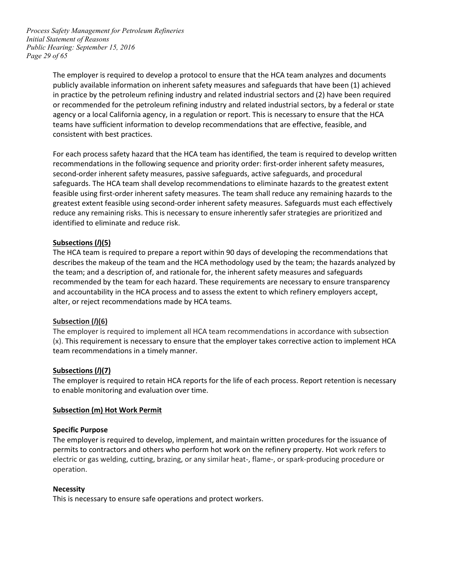*Page 29 of 65 Process Safety Management for Petroleum Refineries Initial Statement of Reasons Public Hearing: September 15, 2016* 

> The employer is required to develop a protocol to ensure that the HCA team analyzes and documents publicly available information on inherent safety measures and safeguards that have been (1) achieved agency or a local California agency, in a regulation or report. This is necessary to ensure that the HCA in practice by the petroleum refining industry and related industrial sectors and (2) have been required or recommended for the petroleum refining industry and related industrial sectors, by a federal or state teams have sufficient information to develop recommendations that are effective, feasible, and consistent with best practices.

> recommendations in the following sequence and priority order: first-order inherent safety measures, reduce any remaining risks. This is necessary to ensure inherently safer strategies are prioritized and identified to eliminate and reduce risk. For each process safety hazard that the HCA team has identified, the team is required to develop written second-order inherent safety measures, passive safeguards, active safeguards, and procedural safeguards. The HCA team shall develop recommendations to eliminate hazards to the greatest extent feasible using first-order inherent safety measures. The team shall reduce any remaining hazards to the greatest extent feasible using second-order inherent safety measures. Safeguards must each effectively

#### **Subsections (***l***)(5)**

 describes the makeup of the team and the HCA methodology used by the team; the hazards analyzed by recommended by the team for each hazard. These requirements are necessary to ensure transparency alter, or reject recommendations made by HCA teams. The HCA team is required to prepare a report within 90 days of developing the recommendations that the team; and a description of, and rationale for, the inherent safety measures and safeguards and accountability in the HCA process and to assess the extent to which refinery employers accept,

#### **Subsection (***l***)(6)**

 The employer is required to implement all HCA team recommendations in accordance with subsection team recommendations in a timely manner. (x). This requirement is necessary to ensure that the employer takes corrective action to implement HCA

#### **Subsections (***l***)(7)**

 to enable monitoring and evaluation over time. The employer is required to retain HCA reports for the life of each process. Report retention is necessary

#### **Subsection (m) Hot Work Permit**

#### **Specific Purpose**

 The employer is required to develop, implement, and maintain written procedures for the issuance of permits to contractors and others who perform hot work on the refinery property. Hot work refers to electric or gas welding, cutting, brazing, or any similar heat-, flame-, or spark-producing procedure or operation.

#### **Necessity**

This is necessary to ensure safe operations and protect workers.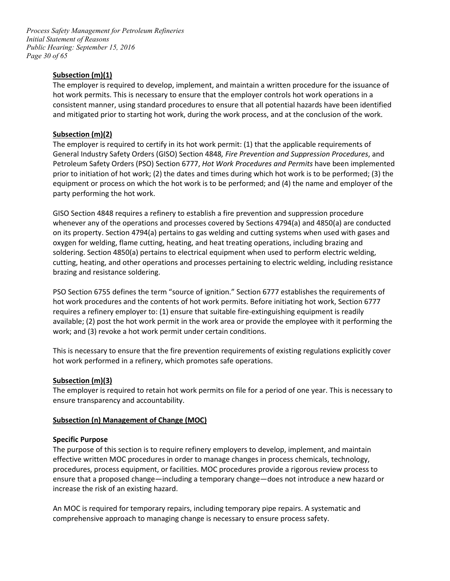*Page 30 of 65 Process Safety Management for Petroleum Refineries Initial Statement of Reasons Public Hearing: September 15, 2016* 

#### **Subsection (m)(1)**

 The employer is required to develop, implement, and maintain a written procedure for the issuance of and mitigated prior to starting hot work, during the work process, and at the conclusion of the work. hot work permits. This is necessary to ensure that the employer controls hot work operations in a consistent manner, using standard procedures to ensure that all potential hazards have been identified

# **Subsection (m)(2)**

 prior to initiation of hot work; (2) the dates and times during which hot work is to be performed; (3) the equipment or process on which the hot work is to be performed; and (4) the name and employer of the The employer is required to certify in its hot work permit: (1) that the applicable requirements of General Industry Safety Orders (GISO) Section 4848*, Fire Prevention and Suppression Procedures*, and Petroleum Safety Orders (PSO) Section 6777, *Hot Work Procedures and Permits* have been implemented party performing the hot work.

 whenever any of the operations and processes covered by Sections 4794(a) and 4850(a) are conducted soldering. Section 4850(a) pertains to electrical equipment when used to perform electric welding, GISO Section 4848 requires a refinery to establish a fire prevention and suppression procedure on its property. Section 4794(a) pertains to gas welding and cutting systems when used with gases and oxygen for welding, flame cutting, heating, and heat treating operations, including brazing and cutting, heating, and other operations and processes pertaining to electric welding, including resistance brazing and resistance soldering.

 hot work procedures and the contents of hot work permits. Before initiating hot work, Section 6777 available; (2) post the hot work permit in the work area or provide the employee with it performing the work; and (3) revoke a hot work permit under certain conditions. PSO Section 6755 defines the term "source of ignition." Section 6777 establishes the requirements of requires a refinery employer to: (1) ensure that suitable fire-extinguishing equipment is readily

This is necessary to ensure that the fire prevention requirements of existing regulations explicitly cover hot work performed in a refinery, which promotes safe operations.

#### **Subsection (m)(3)**

 The employer is required to retain hot work permits on file for a period of one year. This is necessary to ensure transparency and accountability.

#### **Subsection (n) Management of Change (MOC)**

#### **Specific Purpose**

 effective written MOC procedures in order to manage changes in process chemicals, technology, procedures, process equipment, or facilities. MOC procedures provide a rigorous review process to increase the risk of an existing hazard. The purpose of this section is to require refinery employers to develop, implement, and maintain ensure that a proposed change—including a temporary change—does not introduce a new hazard or

 comprehensive approach to managing change is necessary to ensure process safety. An MOC is required for temporary repairs, including temporary pipe repairs. A systematic and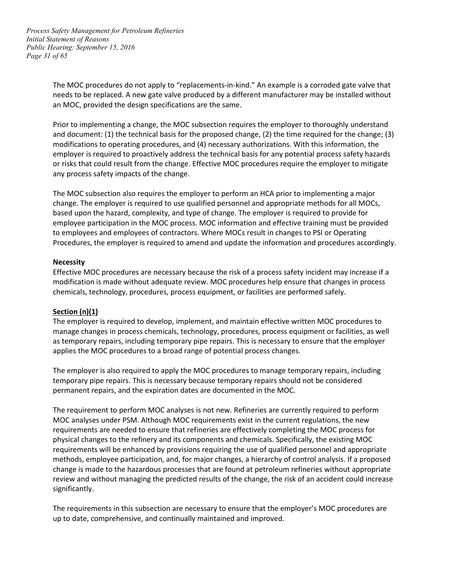*Page 31 of 65 Process Safety Management for Petroleum Refineries Initial Statement of Reasons Public Hearing: September 15, 2016* 

> The MOC procedures do not apply to "replacements-in-kind." An example is a corroded gate valve that needs to be replaced. A new gate valve produced by a different manufacturer may be installed without an MOC, provided the design specifications are the same.

> Prior to implementing a change, the MOC subsection requires the employer to thoroughly understand modifications to operating procedures, and (4) necessary authorizations. With this information, the and document: (1) the technical basis for the proposed change, (2) the time required for the change; (3) employer is required to proactively address the technical basis for any potential process safety hazards or risks that could result from the change. Effective MOC procedures require the employer to mitigate any process safety impacts of the change.

> The MOC subsection also requires the employer to perform an HCA prior to implementing a major change. The employer is required to use qualified personnel and appropriate methods for all MOCs, based upon the hazard, complexity, and type of change. The employer is required to provide for employee participation in the MOC process. MOC information and effective training must be provided to employees and employees of contractors. Where MOCs result in changes to PSI or Operating Procedures, the employer is required to amend and update the information and procedures accordingly.

#### **Necessity**

 modification is made without adequate review. MOC procedures help ensure that changes in process Effective MOC procedures are necessary because the risk of a process safety incident may increase if a chemicals, technology, procedures, process equipment, or facilities are performed safely.

#### **Section (n)(1)**

 manage changes in process chemicals, technology, procedures, process equipment or facilities, as well as temporary repairs, including temporary pipe repairs. This is necessary to ensure that the employer The employer is required to develop, implement, and maintain effective written MOC procedures to applies the MOC procedures to a broad range of potential process changes.

 The employer is also required to apply the MOC procedures to manage temporary repairs, including temporary pipe repairs. This is necessary because temporary repairs should not be considered permanent repairs, and the expiration dates are documented in the MOC.

 MOC analyses under PSM. Although MOC requirements exist in the current regulations, the new requirements are needed to ensure that refineries are effectively completing the MOC process for requirements will be enhanced by provisions requiring the use of qualified personnel and appropriate change is made to the hazardous processes that are found at petroleum refineries without appropriate review and without managing the predicted results of the change, the risk of an accident could increase The requirement to perform MOC analyses is not new. Refineries are currently required to perform physical changes to the refinery and its components and chemicals. Specifically, the existing MOC methods, employee participation, and, for major changes, a hierarchy of control analysis. If a proposed significantly.

 up to date, comprehensive, and continually maintained and improved. The requirements in this subsection are necessary to ensure that the employer's MOC procedures are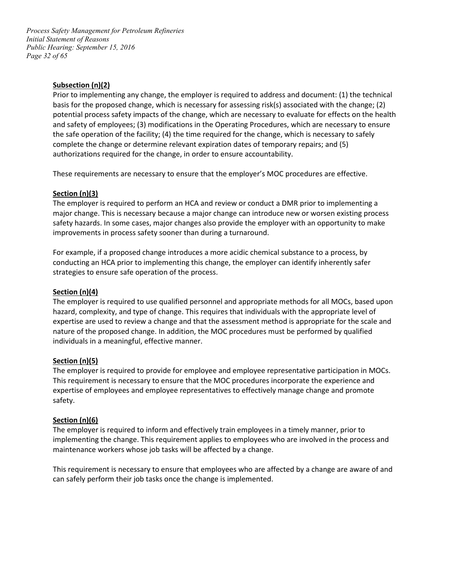*Page 32 of 65 Process Safety Management for Petroleum Refineries Initial Statement of Reasons Public Hearing: September 15, 2016* 

# **Subsection (n)(2)**

 Prior to implementing any change, the employer is required to address and document: (1) the technical potential process safety impacts of the change, which are necessary to evaluate for effects on the health and safety of employees; (3) modifications in the Operating Procedures, which are necessary to ensure basis for the proposed change, which is necessary for assessing risk(s) associated with the change; (2) the safe operation of the facility; (4) the time required for the change, which is necessary to safely complete the change or determine relevant expiration dates of temporary repairs; and (5) authorizations required for the change, in order to ensure accountability.

These requirements are necessary to ensure that the employer's MOC procedures are effective.

#### **Section (n)(3)**

 major change. This is necessary because a major change can introduce new or worsen existing process safety hazards. In some cases, major changes also provide the employer with an opportunity to make improvements in process safety sooner than during a turnaround. The employer is required to perform an HCA and review or conduct a DMR prior to implementing a

 For example, if a proposed change introduces a more acidic chemical substance to a process, by strategies to ensure safe operation of the process. conducting an HCA prior to implementing this change, the employer can identify inherently safer

#### **Section (n)(4)**

 expertise are used to review a change and that the assessment method is appropriate for the scale and The employer is required to use qualified personnel and appropriate methods for all MOCs, based upon hazard, complexity, and type of change. This requires that individuals with the appropriate level of nature of the proposed change. In addition, the MOC procedures must be performed by qualified individuals in a meaningful, effective manner.

#### **Section (n)(5)**

The employer is required to provide for employee and employee representative participation in MOCs. This requirement is necessary to ensure that the MOC procedures incorporate the experience and expertise of employees and employee representatives to effectively manage change and promote safety.

#### **Section (n)(6)**

 The employer is required to inform and effectively train employees in a timely manner, prior to implementing the change. This requirement applies to employees who are involved in the process and maintenance workers whose job tasks will be affected by a change.

This requirement is necessary to ensure that employees who are affected by a change are aware of and can safely perform their job tasks once the change is implemented.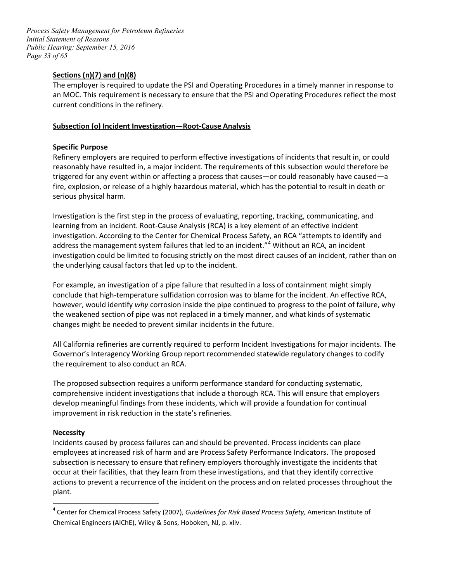*Page 33 of 65 Process Safety Management for Petroleum Refineries Initial Statement of Reasons Public Hearing: September 15, 2016* 

# **Sections (n)(7) and (n)(8)**

 The employer is required to update the PSI and Operating Procedures in a timely manner in response to current conditions in the refinery. an MOC. This requirement is necessary to ensure that the PSI and Operating Procedures reflect the most

#### **Subsection (o) Incident Investigation—Root-Cause Analysis**

#### **Specific Purpose**

 fire, explosion, or release of a highly hazardous material, which has the potential to result in death or Refinery employers are required to perform effective investigations of incidents that result in, or could reasonably have resulted in, a major incident. The requirements of this subsection would therefore be triggered for any event within or affecting a process that causes—or could reasonably have caused—a serious physical harm.

 Investigation is the first step in the process of evaluating, reporting, tracking, communicating, and learning from an incident. Root-Cause Analysis (RCA) is a key element of an effective incident investigation. According to the Center for Chemical Process Safety, an RCA "attempts to identify and investigation could be limited to focusing strictly on the most direct causes of an incident, rather than on address the management system failures that led to an incident."<sup>[4](#page-32-0)</sup> Without an RCA, an incident the underlying causal factors that led up to the incident.

 however, would identify *why* corrosion inside the pipe continued to progress to the point of failure, why the weakened section of pipe was not replaced in a timely manner, and what kinds of systematic For example, an investigation of a pipe failure that resulted in a loss of containment might simply conclude that high-temperature sulfidation corrosion was to blame for the incident. An effective RCA, changes might be needed to prevent similar incidents in the future.

 All California refineries are currently required to perform Incident Investigations for major incidents. The Governor's Interagency Working Group report recommended statewide regulatory changes to codify the requirement to also conduct an RCA.

 comprehensive incident investigations that include a thorough RCA. This will ensure that employers The proposed subsection requires a uniform performance standard for conducting systematic, develop meaningful findings from these incidents, which will provide a foundation for continual improvement in risk reduction in the state's refineries.

#### **Necessity**

 $\overline{a}$ 

 employees at increased risk of harm and are Process Safety Performance Indicators. The proposed subsection is necessary to ensure that refinery employers thoroughly investigate the incidents that Incidents caused by process failures can and should be prevented. Process incidents can place occur at their facilities, that they learn from these investigations, and that they identify corrective actions to prevent a recurrence of the incident on the process and on related processes throughout the plant.

<span id="page-32-0"></span><sup>4</sup> Center for Chemical Process Safety (2007), *Guidelines for Risk Based Process Safety,* American Institute of Chemical Engineers (AIChE), Wiley & Sons, Hoboken, NJ, p. xliv.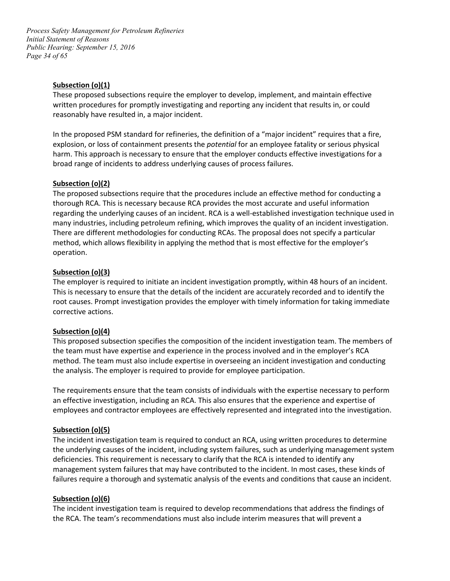*Page 34 of 65 Process Safety Management for Petroleum Refineries Initial Statement of Reasons Public Hearing: September 15, 2016* 

#### **Subsection (o)(1)**

These proposed subsections require the employer to develop, implement, and maintain effective written procedures for promptly investigating and reporting any incident that results in, or could reasonably have resulted in, a major incident.

 explosion, or loss of containment presents the *potential* for an employee fatality or serious physical broad range of incidents to address underlying causes of process failures. In the proposed PSM standard for refineries, the definition of a "major incident" requires that a fire, harm. This approach is necessary to ensure that the employer conducts effective investigations for a

#### **Subsection (o)(2)**

 The proposed subsections require that the procedures include an effective method for conducting a regarding the underlying causes of an incident. RCA is a well-established investigation technique used in method, which allows flexibility in applying the method that is most effective for the employer's thorough RCA. This is necessary because RCA provides the most accurate and useful information many industries, including petroleum refining, which improves the quality of an incident investigation. There are different methodologies for conducting RCAs. The proposal does not specify a particular operation.

#### **Subsection (o)(3)**

 This is necessary to ensure that the details of the incident are accurately recorded and to identify the The employer is required to initiate an incident investigation promptly, within 48 hours of an incident. root causes. Prompt investigation provides the employer with timely information for taking immediate corrective actions.

#### **Subsection (o)(4)**

 This proposed subsection specifies the composition of the incident investigation team. The members of method. The team must also include expertise in overseeing an incident investigation and conducting the team must have expertise and experience in the process involved and in the employer's RCA the analysis. The employer is required to provide for employee participation.

 employees and contractor employees are effectively represented and integrated into the investigation. The requirements ensure that the team consists of individuals with the expertise necessary to perform an effective investigation, including an RCA. This also ensures that the experience and expertise of

#### **Subsection (o)(5)**

 deficiencies. This requirement is necessary to clarify that the RCA is intended to identify any management system failures that may have contributed to the incident. In most cases, these kinds of failures require a thorough and systematic analysis of the events and conditions that cause an incident. The incident investigation team is required to conduct an RCA, using written procedures to determine the underlying causes of the incident, including system failures, such as underlying management system

#### **Subsection (o)(6)**

 The incident investigation team is required to develop recommendations that address the findings of the RCA. The team's recommendations must also include interim measures that will prevent a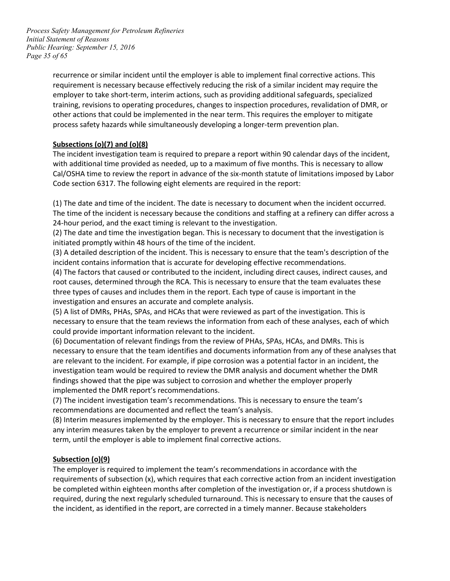*Page 35 of 65 Process Safety Management for Petroleum Refineries Initial Statement of Reasons Public Hearing: September 15, 2016* 

> training, revisions to operating procedures, changes to inspection procedures, revalidation of DMR, or recurrence or similar incident until the employer is able to implement final corrective actions. This requirement is necessary because effectively reducing the risk of a similar incident may require the employer to take short-term, interim actions, such as providing additional safeguards, specialized other actions that could be implemented in the near term. This requires the employer to mitigate process safety hazards while simultaneously developing a longer-term prevention plan.

# **Subsections (o)(7) and (o)(8)**

 The incident investigation team is required to prepare a report within 90 calendar days of the incident, with additional time provided as needed, up to a maximum of five months. This is necessary to allow Code section 6317. The following eight elements are required in the report: Cal/OSHA time to review the report in advance of the six-month statute of limitations imposed by Labor

 (1) The date and time of the incident. The date is necessary to document when the incident occurred. The time of the incident is necessary because the conditions and staffing at a refinery can differ across a 24-hour period, and the exact timing is relevant to the investigation.

 (2) The date and time the investigation began. This is necessary to document that the investigation is initiated promptly within 48 hours of the time of the incident.

 (3) A detailed description of the incident. This is necessary to ensure that the team's description of the incident contains information that is accurate for developing effective recommendations.

 (4) The factors that caused or contributed to the incident, including direct causes, indirect causes, and investigation and ensures an accurate and complete analysis. root causes, determined through the RCA. This is necessary to ensure that the team evaluates these three types of causes and includes them in the report. Each type of cause is important in the

 (5) A list of DMRs, PHAs, SPAs, and HCAs that were reviewed as part of the investigation. This is necessary to ensure that the team reviews the information from each of these analyses, each of which could provide important information relevant to the incident.

 (6) Documentation of relevant findings from the review of PHAs, SPAs, HCAs, and DMRs. This is necessary to ensure that the team identifies and documents information from any of these analyses that are relevant to the incident. For example, if pipe corrosion was a potential factor in an incident, the investigation team would be required to review the DMR analysis and document whether the DMR findings showed that the pipe was subject to corrosion and whether the employer properly implemented the DMR report's recommendations.

(7) The incident investigation team's recommendations. This is necessary to ensure the team's recommendations are documented and reflect the team's analysis.

 (8) Interim measures implemented by the employer. This is necessary to ensure that the report includes any interim measures taken by the employer to prevent a recurrence or similar incident in the near term, until the employer is able to implement final corrective actions.

# **Subsection (o)(9)**

 be completed within eighteen months after completion of the investigation or, if a process shutdown is required, during the next regularly scheduled turnaround. This is necessary to ensure that the causes of The employer is required to implement the team's recommendations in accordance with the requirements of subsection (x), which requires that each corrective action from an incident investigation the incident, as identified in the report, are corrected in a timely manner. Because stakeholders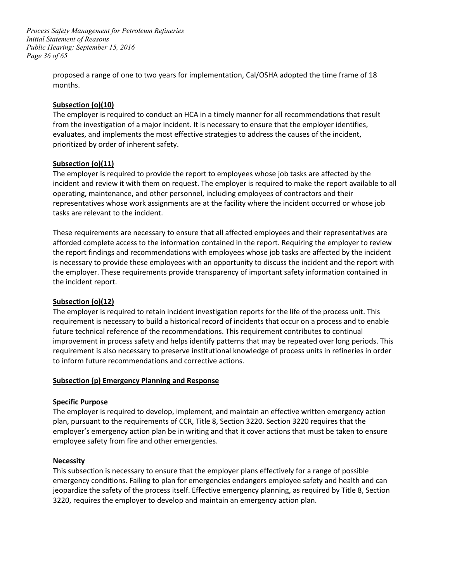*Page 36 of 65 Process Safety Management for Petroleum Refineries Initial Statement of Reasons Public Hearing: September 15, 2016* 

> proposed a range of one to two years for implementation, Cal/OSHA adopted the time frame of 18 months.

#### **Subsection (o)(10)**

The employer is required to conduct an HCA in a timely manner for all recommendations that result from the investigation of a major incident. It is necessary to ensure that the employer identifies, evaluates, and implements the most effective strategies to address the causes of the incident, prioritized by order of inherent safety.

#### **Subsection (o)(11)**

The employer is required to provide the report to employees whose job tasks are affected by the incident and review it with them on request. The employer is required to make the report available to all operating, maintenance, and other personnel, including employees of contractors and their representatives whose work assignments are at the facility where the incident occurred or whose job tasks are relevant to the incident.

 afforded complete access to the information contained in the report. Requiring the employer to review is necessary to provide these employees with an opportunity to discuss the incident and the report with These requirements are necessary to ensure that all affected employees and their representatives are the report findings and recommendations with employees whose job tasks are affected by the incident the employer. These requirements provide transparency of important safety information contained in the incident report.

#### **Subsection (o)(12)**

 The employer is required to retain incident investigation reports for the life of the process unit. This requirement is necessary to build a historical record of incidents that occur on a process and to enable future technical reference of the recommendations. This requirement contributes to continual improvement in process safety and helps identify patterns that may be repeated over long periods. This requirement is also necessary to preserve institutional knowledge of process units in refineries in order to inform future recommendations and corrective actions.

#### **Subsection (p) Emergency Planning and Response**

#### **Specific Purpose**

 The employer is required to develop, implement, and maintain an effective written emergency action plan, pursuant to the requirements of CCR, Title 8, Section 3220. Section 3220 requires that the employer's emergency action plan be in writing and that it cover actions that must be taken to ensure employee safety from fire and other emergencies.

#### **Necessity**

 emergency conditions. Failing to plan for emergencies endangers employee safety and health and can 3220, requires the employer to develop and maintain an emergency action plan. This subsection is necessary to ensure that the employer plans effectively for a range of possible jeopardize the safety of the process itself. Effective emergency planning, as required by Title 8, Section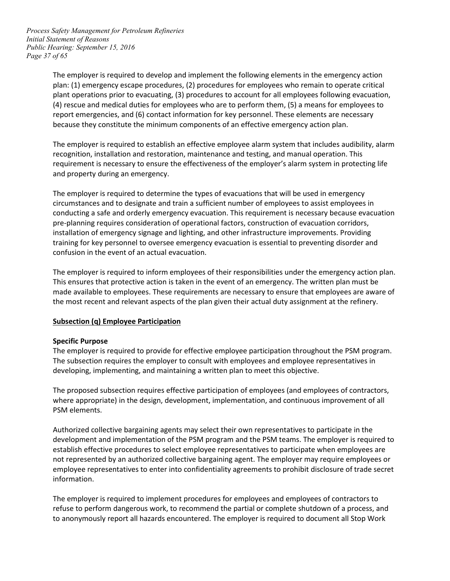*Page 37 of 65 Process Safety Management for Petroleum Refineries Initial Statement of Reasons Public Hearing: September 15, 2016* 

> plan: (1) emergency escape procedures, (2) procedures for employees who remain to operate critical (4) rescue and medical duties for employees who are to perform them, (5) a means for employees to The employer is required to develop and implement the following elements in the emergency action plant operations prior to evacuating, (3) procedures to account for all employees following evacuation, report emergencies, and (6) contact information for key personnel. These elements are necessary because they constitute the minimum components of an effective emergency action plan.

 recognition, installation and restoration, maintenance and testing, and manual operation. This The employer is required to establish an effective employee alarm system that includes audibility, alarm requirement is necessary to ensure the effectiveness of the employer's alarm system in protecting life and property during an emergency.

 The employer is required to determine the types of evacuations that will be used in emergency circumstances and to designate and train a sufficient number of employees to assist employees in conducting a safe and orderly emergency evacuation. This requirement is necessary because evacuation confusion in the event of an actual evacuation. pre-planning requires consideration of operational factors, construction of evacuation corridors, installation of emergency signage and lighting, and other infrastructure improvements. Providing training for key personnel to oversee emergency evacuation is essential to preventing disorder and

 The employer is required to inform employees of their responsibilities under the emergency action plan. This ensures that protective action is taken in the event of an emergency. The written plan must be made available to employees. These requirements are necessary to ensure that employees are aware of the most recent and relevant aspects of the plan given their actual duty assignment at the refinery.

#### **Subsection (q) Employee Participation**

#### **Specific Purpose**

 developing, implementing, and maintaining a written plan to meet this objective. The employer is required to provide for effective employee participation throughout the PSM program. The subsection requires the employer to consult with employees and employee representatives in

 The proposed subsection requires effective participation of employees (and employees of contractors, where appropriate) in the design, development, implementation, and continuous improvement of all PSM elements.

 not represented by an authorized collective bargaining agent. The employer may require employees or employee representatives to enter into confidentiality agreements to prohibit disclosure of trade secret Authorized collective bargaining agents may select their own representatives to participate in the development and implementation of the PSM program and the PSM teams. The employer is required to establish effective procedures to select employee representatives to participate when employees are information.

The employer is required to implement procedures for employees and employees of contractors to refuse to perform dangerous work, to recommend the partial or complete shutdown of a process, and to anonymously report all hazards encountered. The employer is required to document all Stop Work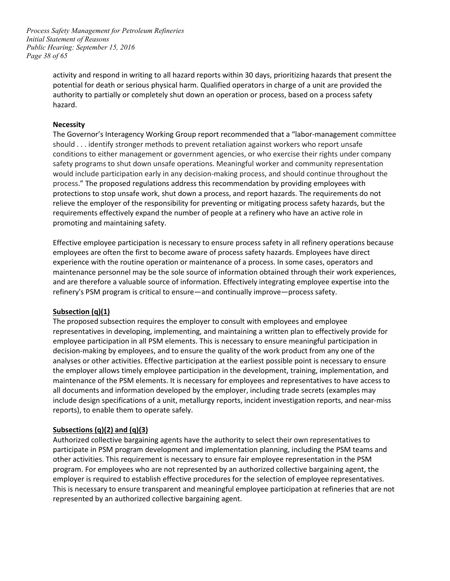*Page 38 of 65 Process Safety Management for Petroleum Refineries Initial Statement of Reasons Public Hearing: September 15, 2016* 

> activity and respond in writing to all hazard reports within 30 days, prioritizing hazards that present the authority to partially or completely shut down an operation or process, based on a process safety potential for death or serious physical harm. Qualified operators in charge of a unit are provided the hazard.

#### **Necessity**

 safety programs to shut down unsafe operations. Meaningful worker and community representation requirements effectively expand the number of people at a refinery who have an active role in The Governor's Interagency Working Group report recommended that a "labor-management committee should . . . identify stronger methods to prevent retaliation against workers who report unsafe conditions to either management or government agencies, or who exercise their rights under company would include participation early in any decision-making process, and should continue throughout the process." The proposed regulations address this recommendation by providing employees with protections to stop unsafe work, shut down a process, and report hazards. The requirements do not relieve the employer of the responsibility for preventing or mitigating process safety hazards, but the promoting and maintaining safety.

 maintenance personnel may be the sole source of information obtained through their work experiences, Effective employee participation is necessary to ensure process safety in all refinery operations because employees are often the first to become aware of process safety hazards. Employees have direct experience with the routine operation or maintenance of a process. In some cases, operators and and are therefore a valuable source of information. Effectively integrating employee expertise into the refinery's PSM program is critical to ensure—and continually improve—process safety.

# **Subsection (q)(1)**

 The proposed subsection requires the employer to consult with employees and employee decision-making by employees, and to ensure the quality of the work product from any one of the analyses or other activities. Effective participation at the earliest possible point is necessary to ensure the employer allows timely employee participation in the development, training, implementation, and all documents and information developed by the employer, including trade secrets (examples may representatives in developing, implementing, and maintaining a written plan to effectively provide for employee participation in all PSM elements. This is necessary to ensure meaningful participation in maintenance of the PSM elements. It is necessary for employees and representatives to have access to include design specifications of a unit, metallurgy reports, incident investigation reports, and near-miss reports), to enable them to operate safely.

# **Subsections (q)(2) and (q)(3)**

 employer is required to establish effective procedures for the selection of employee representatives. This is necessary to ensure transparent and meaningful employee participation at refineries that are not Authorized collective bargaining agents have the authority to select their own representatives to participate in PSM program development and implementation planning, including the PSM teams and other activities. This requirement is necessary to ensure fair employee representation in the PSM program. For employees who are not represented by an authorized collective bargaining agent, the represented by an authorized collective bargaining agent.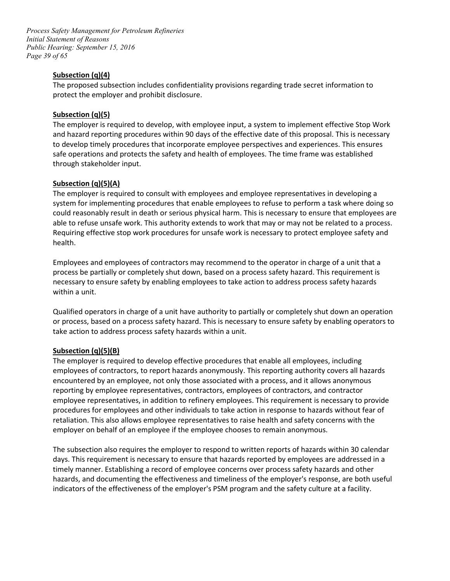*Page 39 of 65 Process Safety Management for Petroleum Refineries Initial Statement of Reasons Public Hearing: September 15, 2016* 

# **Subsection (q)(4)**

 The proposed subsection includes confidentiality provisions regarding trade secret information to protect the employer and prohibit disclosure.

#### **Subsection (q)(5)**

 and hazard reporting procedures within 90 days of the effective date of this proposal. This is necessary safe operations and protects the safety and health of employees. The time frame was established The employer is required to develop, with employee input, a system to implement effective Stop Work to develop timely procedures that incorporate employee perspectives and experiences. This ensures through stakeholder input.

# **Subsection (q)(5)(A)**

 system for implementing procedures that enable employees to refuse to perform a task where doing so able to refuse unsafe work. This authority extends to work that may or may not be related to a process. The employer is required to consult with employees and employee representatives in developing a could reasonably result in death or serious physical harm. This is necessary to ensure that employees are Requiring effective stop work procedures for unsafe work is necessary to protect employee safety and health.

 Employees and employees of contractors may recommend to the operator in charge of a unit that a process be partially or completely shut down, based on a process safety hazard. This requirement is necessary to ensure safety by enabling employees to take action to address process safety hazards within a unit.

 Qualified operators in charge of a unit have authority to partially or completely shut down an operation or process, based on a process safety hazard. This is necessary to ensure safety by enabling operators to take action to address process safety hazards within a unit.

#### **Subsection (q)(5)(B)**

 encountered by an employee, not only those associated with a process, and it allows anonymous employee representatives, in addition to refinery employees. This requirement is necessary to provide retaliation. This also allows employee representatives to raise health and safety concerns with the The employer is required to develop effective procedures that enable all employees, including employees of contractors, to report hazards anonymously. This reporting authority covers all hazards reporting by employee representatives, contractors, employees of contractors, and contractor procedures for employees and other individuals to take action in response to hazards without fear of employer on behalf of an employee if the employee chooses to remain anonymous.

 The subsection also requires the employer to respond to written reports of hazards within 30 calendar days. This requirement is necessary to ensure that hazards reported by employees are addressed in a indicators of the effectiveness of the employer's PSM program and the safety culture at a facility. timely manner. Establishing a record of employee concerns over process safety hazards and other hazards, and documenting the effectiveness and timeliness of the employer's response, are both useful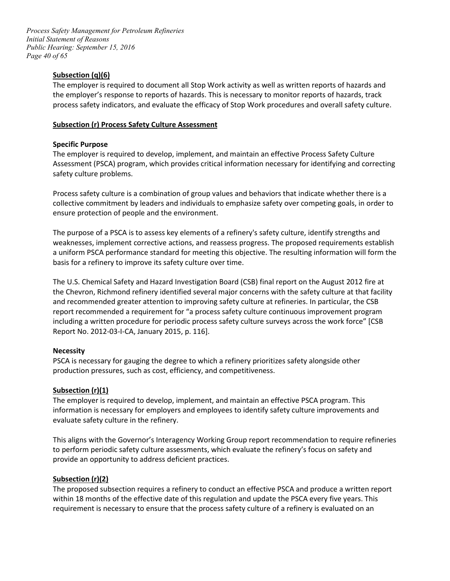*Page 40 of 65 Process Safety Management for Petroleum Refineries Initial Statement of Reasons Public Hearing: September 15, 2016* 

# **Subsection (q)(6)**

 The employer is required to document all Stop Work activity as well as written reports of hazards and the employer's response to reports of hazards. This is necessary to monitor reports of hazards, track process safety indicators, and evaluate the efficacy of Stop Work procedures and overall safety culture.

# **Subsection (r) Process Safety Culture Assessment**

#### **Specific Purpose**

 The employer is required to develop, implement, and maintain an effective Process Safety Culture Assessment (PSCA) program, which provides critical information necessary for identifying and correcting safety culture problems.

Process safety culture is a combination of group values and behaviors that indicate whether there is a collective commitment by leaders and individuals to emphasize safety over competing goals, in order to ensure protection of people and the environment.

 weaknesses, implement corrective actions, and reassess progress. The proposed requirements establish basis for a refinery to improve its safety culture over time. The purpose of a PSCA is to assess key elements of a refinery's safety culture, identify strengths and a uniform PSCA performance standard for meeting this objective. The resulting information will form the

 report recommended a requirement for "a process safety culture continuous improvement program including a written procedure for periodic process safety culture surveys across the work force" [CSB Report No. 2012-03-I-CA, January 2015, p. 116]. The U.S. Chemical Safety and Hazard Investigation Board (CSB) final report on the August 2012 fire at the Chevron, Richmond refinery identified several major concerns with the safety culture at that facility and recommended greater attention to improving safety culture at refineries. In particular, the CSB

#### **Necessity**

PSCA is necessary for gauging the degree to which a refinery prioritizes safety alongside other production pressures, such as cost, efficiency, and competitiveness.

#### **Subsection (r)(1)**

 The employer is required to develop, implement, and maintain an effective PSCA program. This information is necessary for employers and employees to identify safety culture improvements and evaluate safety culture in the refinery.

 to perform periodic safety culture assessments, which evaluate the refinery's focus on safety and This aligns with the Governor's Interagency Working Group report recommendation to require refineries provide an opportunity to address deficient practices.

#### **Subsection (r)(2)**

 within 18 months of the effective date of this regulation and update the PSCA every five years. This requirement is necessary to ensure that the process safety culture of a refinery is evaluated on an The proposed subsection requires a refinery to conduct an effective PSCA and produce a written report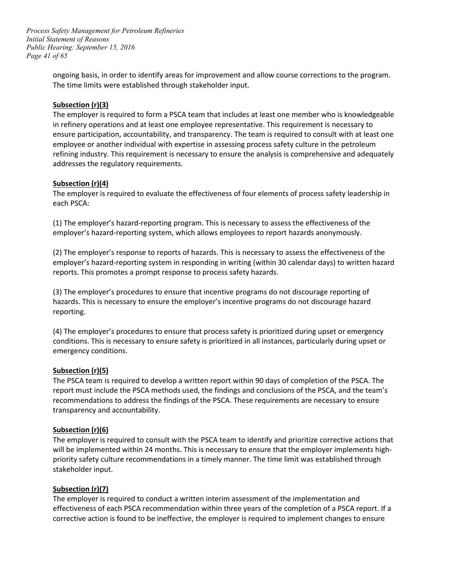*Page 41 of 65 Process Safety Management for Petroleum Refineries Initial Statement of Reasons Public Hearing: September 15, 2016* 

> ongoing basis, in order to identify areas for improvement and allow course corrections to the program. The time limits were established through stakeholder input.

#### **Subsection (r)(3)**

 addresses the regulatory requirements. The employer is required to form a PSCA team that includes at least one member who is knowledgeable in refinery operations and at least one employee representative. This requirement is necessary to ensure participation, accountability, and transparency. The team is required to consult with at least one employee or another individual with expertise in assessing process safety culture in the petroleum refining industry. This requirement is necessary to ensure the analysis is comprehensive and adequately

#### **Subsection (r)(4)**

The employer is required to evaluate the effectiveness of four elements of process safety leadership in each PSCA:

(1) The employer's hazard-reporting program. This is necessary to assess the effectiveness of the employer's hazard-reporting system, which allows employees to report hazards anonymously.

(2) The employer's response to reports of hazards. This is necessary to assess the effectiveness of the employer's hazard-reporting system in responding in writing (within 30 calendar days) to written hazard reports. This promotes a prompt response to process safety hazards.

(3) The employer's procedures to ensure that incentive programs do not discourage reporting of hazards. This is necessary to ensure the employer's incentive programs do not discourage hazard reporting.

(4) The employer's procedures to ensure that process safety is prioritized during upset or emergency conditions. This is necessary to ensure safety is prioritized in all instances, particularly during upset or emergency conditions.

#### **Subsection (r)(5)**

 report must include the PSCA methods used, the findings and conclusions of the PSCA, and the team's recommendations to address the findings of the PSCA. These requirements are necessary to ensure transparency and accountability. The PSCA team is required to develop a written report within 90 days of completion of the PSCA. The

#### **Subsection (r)(6)**

 The employer is required to consult with the PSCA team to identify and prioritize corrective actions that stakeholder input. will be implemented within 24 months. This is necessary to ensure that the employer implements highpriority safety culture recommendations in a timely manner. The time limit was established through

#### **Subsection (r)(7)**

 The employer is required to conduct a written interim assessment of the implementation and corrective action is found to be ineffective, the employer is required to implement changes to ensure effectiveness of each PSCA recommendation within three years of the completion of a PSCA report. If a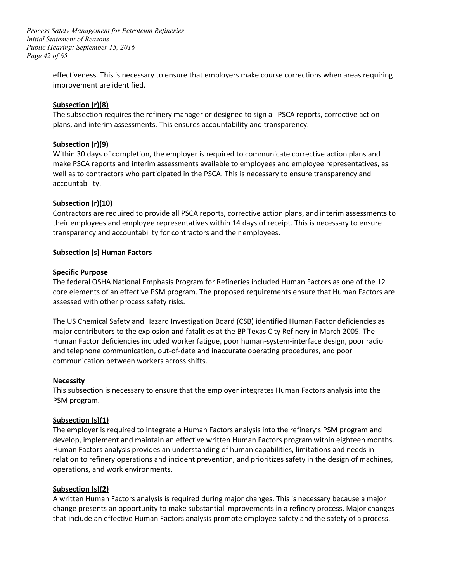*Page 42 of 65 Process Safety Management for Petroleum Refineries Initial Statement of Reasons Public Hearing: September 15, 2016* 

> effectiveness. This is necessary to ensure that employers make course corrections when areas requiring improvement are identified.

#### **Subsection (r)(8)**

 The subsection requires the refinery manager or designee to sign all PSCA reports, corrective action plans, and interim assessments. This ensures accountability and transparency.

# **Subsection (r)(9)**

Within 30 days of completion, the employer is required to communicate corrective action plans and make PSCA reports and interim assessments available to employees and employee representatives, as well as to contractors who participated in the PSCA. This is necessary to ensure transparency and accountability.

# **Subsection (r)(10)**

 Contractors are required to provide all PSCA reports, corrective action plans, and interim assessments to their employees and employee representatives within 14 days of receipt. This is necessary to ensure transparency and accountability for contractors and their employees.

# Subsection (s) Human Factors<br>Specific Purpose

 The federal OSHA National Emphasis Program for Refineries included Human Factors as one of the 12 core elements of an effective PSM program. The proposed requirements ensure that Human Factors are assessed with other process safety risks.

 major contributors to the explosion and fatalities at the BP Texas City Refinery in March 2005. The The US Chemical Safety and Hazard Investigation Board (CSB) identified Human Factor deficiencies as Human Factor deficiencies included worker fatigue, poor human-system-interface design, poor radio and telephone communication, out-of-date and inaccurate operating procedures, and poor communication between workers across shifts.

#### **Necessity**

This subsection is necessary to ensure that the employer integrates Human Factors analysis into the PSM program.

#### **Subsection (s)(1)**

 develop, implement and maintain an effective written Human Factors program within eighteen months. relation to refinery operations and incident prevention, and prioritizes safety in the design of machines, The employer is required to integrate a Human Factors analysis into the refinery's PSM program and Human Factors analysis provides an understanding of human capabilities, limitations and needs in operations, and work environments.

#### **Subsection (s)(2)**

A written Human Factors analysis is required during major changes. This is necessary because a major change presents an opportunity to make substantial improvements in a refinery process. Major changes that include an effective Human Factors analysis promote employee safety and the safety of a process.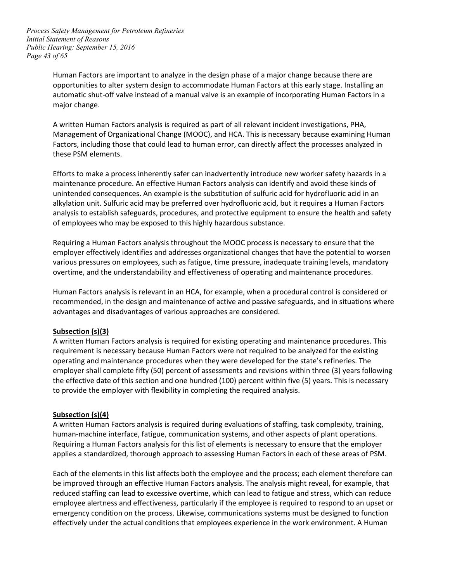*Page 43 of 65 Process Safety Management for Petroleum Refineries Initial Statement of Reasons Public Hearing: September 15, 2016* 

> Human Factors are important to analyze in the design phase of a major change because there are automatic shut-off valve instead of a manual valve is an example of incorporating Human Factors in a opportunities to alter system design to accommodate Human Factors at this early stage. Installing an major change.

 A written Human Factors analysis is required as part of all relevant incident investigations, PHA, Factors, including those that could lead to human error, can directly affect the processes analyzed in these PSM elements. Management of Organizational Change (MOOC), and HCA. This is necessary because examining Human

 of employees who may be exposed to this highly hazardous substance. Efforts to make a process inherently safer can inadvertently introduce new worker safety hazards in a maintenance procedure. An effective Human Factors analysis can identify and avoid these kinds of unintended consequences. An example is the substitution of sulfuric acid for hydrofluoric acid in an alkylation unit. Sulfuric acid may be preferred over hydrofluoric acid, but it requires a Human Factors analysis to establish safeguards, procedures, and protective equipment to ensure the health and safety

 employer effectively identifies and addresses organizational changes that have the potential to worsen overtime, and the understandability and effectiveness of operating and maintenance procedures. Requiring a Human Factors analysis throughout the MOOC process is necessary to ensure that the various pressures on employees, such as fatigue, time pressure, inadequate training levels, mandatory

Human Factors analysis is relevant in an HCA, for example, when a procedural control is considered or recommended, in the design and maintenance of active and passive safeguards, and in situations where advantages and disadvantages of various approaches are considered.

#### **Subsection (s)(3)**

 requirement is necessary because Human Factors were not required to be analyzed for the existing operating and maintenance procedures when they were developed for the state's refineries. The employer shall complete fifty (50) percent of assessments and revisions within three (3) years following to provide the employer with flexibility in completing the required analysis. A written Human Factors analysis is required for existing operating and maintenance procedures. This the effective date of this section and one hundred (100) percent within five (5) years. This is necessary

#### **Subsection (s)(4)**

 A written Human Factors analysis is required during evaluations of staffing, task complexity, training, Requiring a Human Factors analysis for this list of elements is necessary to ensure that the employer applies a standardized, thorough approach to assessing Human Factors in each of these areas of PSM. human-machine interface, fatigue, communication systems, and other aspects of plant operations.

 Each of the elements in this list affects both the employee and the process; each element therefore can reduced staffing can lead to excessive overtime, which can lead to fatigue and stress, which can reduce be improved through an effective Human Factors analysis. The analysis might reveal, for example, that employee alertness and effectiveness, particularly if the employee is required to respond to an upset or emergency condition on the process. Likewise, communications systems must be designed to function effectively under the actual conditions that employees experience in the work environment. A Human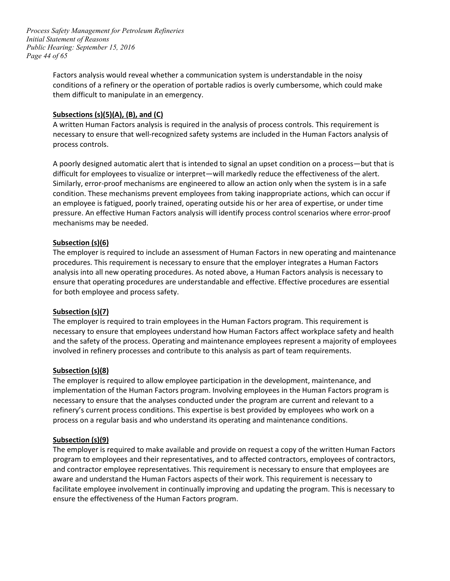*Page 44 of 65 Process Safety Management for Petroleum Refineries Initial Statement of Reasons Public Hearing: September 15, 2016* 

> Factors analysis would reveal whether a communication system is understandable in the noisy conditions of a refinery or the operation of portable radios is overly cumbersome, which could make them difficult to manipulate in an emergency.

#### **Subsections (s)(5)(A), (B), and (C)**

A written Human Factors analysis is required in the analysis of process controls. This requirement is necessary to ensure that well-recognized safety systems are included in the Human Factors analysis of process controls.

 A poorly designed automatic alert that is intended to signal an upset condition on a process—but that is difficult for employees to visualize or interpret—will markedly reduce the effectiveness of the alert. Similarly, error-proof mechanisms are engineered to allow an action only when the system is in a safe condition. These mechanisms prevent employees from taking inappropriate actions, which can occur if an employee is fatigued, poorly trained, operating outside his or her area of expertise, or under time pressure. An effective Human Factors analysis will identify process control scenarios where error-proof mechanisms may be needed.

#### **Subsection (s)(6)**

 The employer is required to include an assessment of Human Factors in new operating and maintenance procedures. This requirement is necessary to ensure that the employer integrates a Human Factors analysis into all new operating procedures. As noted above, a Human Factors analysis is necessary to ensure that operating procedures are understandable and effective. Effective procedures are essential for both employee and process safety.

#### **Subsection (s)(7)**

 necessary to ensure that employees understand how Human Factors affect workplace safety and health and the safety of the process. Operating and maintenance employees represent a majority of employees The employer is required to train employees in the Human Factors program. This requirement is involved in refinery processes and contribute to this analysis as part of team requirements.

#### **Subsection (s)(8)**

 refinery's current process conditions. This expertise is best provided by employees who work on a process on a regular basis and who understand its operating and maintenance conditions. The employer is required to allow employee participation in the development, maintenance, and implementation of the Human Factors program. Involving employees in the Human Factors program is necessary to ensure that the analyses conducted under the program are current and relevant to a

#### **Subsection (s)(9)**

 The employer is required to make available and provide on request a copy of the written Human Factors program to employees and their representatives, and to affected contractors, employees of contractors, and contractor employee representatives. This requirement is necessary to ensure that employees are aware and understand the Human Factors aspects of their work. This requirement is necessary to facilitate employee involvement in continually improving and updating the program. This is necessary to ensure the effectiveness of the Human Factors program.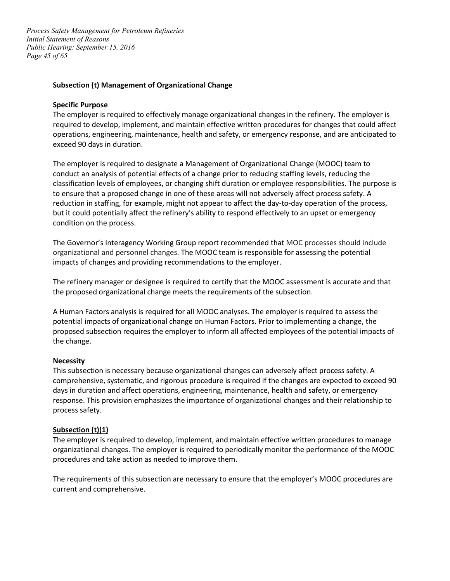*Page 45 of 65 Process Safety Management for Petroleum Refineries Initial Statement of Reasons Public Hearing: September 15, 2016* 

#### **Subsection (t) Management of Organizational Change**

#### **Specific Purpose**

 The employer is required to effectively manage organizational changes in the refinery. The employer is required to develop, implement, and maintain effective written procedures for changes that could affect operations, engineering, maintenance, health and safety, or emergency response, and are anticipated to exceed 90 days in duration.

 to ensure that a proposed change in one of these areas will not adversely affect process safety. A reduction in staffing, for example, might not appear to affect the day-to-day operation of the process, condition on the process. The employer is required to designate a Management of Organizational Change (MOOC) team to conduct an analysis of potential effects of a change prior to reducing staffing levels, reducing the classification levels of employees, or changing shift duration or employee responsibilities. The purpose is but it could potentially affect the refinery's ability to respond effectively to an upset or emergency

The Governor's Interagency Working Group report recommended that MOC processes should include organizational and personnel changes. The MOOC team is responsible for assessing the potential impacts of changes and providing recommendations to the employer.

 The refinery manager or designee is required to certify that the MOOC assessment is accurate and that the proposed organizational change meets the requirements of the subsection.

 A Human Factors analysis is required for all MOOC analyses. The employer is required to assess the potential impacts of organizational change on Human Factors. Prior to implementing a change, the proposed subsection requires the employer to inform all affected employees of the potential impacts of the change.

#### **Necessity**

 comprehensive, systematic, and rigorous procedure is required if the changes are expected to exceed 90 days in duration and affect operations, engineering, maintenance, health and safety, or emergency response. This provision emphasizes the importance of organizational changes and their relationship to This subsection is necessary because organizational changes can adversely affect process safety. A process safety.

#### **Subsection (t)(1)**

 The employer is required to develop, implement, and maintain effective written procedures to manage organizational changes. The employer is required to periodically monitor the performance of the MOOC procedures and take action as needed to improve them.

 The requirements of this subsection are necessary to ensure that the employer's MOOC procedures are current and comprehensive.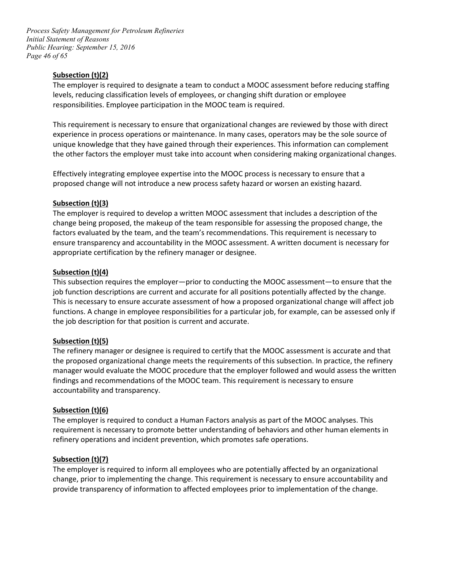*Page 46 of 65 Process Safety Management for Petroleum Refineries Initial Statement of Reasons Public Hearing: September 15, 2016* 

# **Subsection (t)(2)**

 levels, reducing classification levels of employees, or changing shift duration or employee responsibilities. Employee participation in the MOOC team is required. The employer is required to designate a team to conduct a MOOC assessment before reducing staffing

 This requirement is necessary to ensure that organizational changes are reviewed by those with direct experience in process operations or maintenance. In many cases, operators may be the sole source of the other factors the employer must take into account when considering making organizational changes. unique knowledge that they have gained through their experiences. This information can complement

 proposed change will not introduce a new process safety hazard or worsen an existing hazard. Effectively integrating employee expertise into the MOOC process is necessary to ensure that a

#### **Subsection (t)(3)**

 The employer is required to develop a written MOOC assessment that includes a description of the change being proposed, the makeup of the team responsible for assessing the proposed change, the factors evaluated by the team, and the team's recommendations. This requirement is necessary to ensure transparency and accountability in the MOOC assessment. A written document is necessary for appropriate certification by the refinery manager or designee.

#### **Subsection (t)(4)**

 This is necessary to ensure accurate assessment of how a proposed organizational change will affect job This subsection requires the employer—prior to conducting the MOOC assessment—to ensure that the job function descriptions are current and accurate for all positions potentially affected by the change. functions. A change in employee responsibilities for a particular job, for example, can be assessed only if the job description for that position is current and accurate.

#### **Subsection (t)(5)**

 manager would evaluate the MOOC procedure that the employer followed and would assess the written findings and recommendations of the MOOC team. This requirement is necessary to ensure The refinery manager or designee is required to certify that the MOOC assessment is accurate and that the proposed organizational change meets the requirements of this subsection. In practice, the refinery accountability and transparency.

#### **Subsection (t)(6)**

 The employer is required to conduct a Human Factors analysis as part of the MOOC analyses. This requirement is necessary to promote better understanding of behaviors and other human elements in refinery operations and incident prevention, which promotes safe operations.

#### **Subsection (t)(7)**

 provide transparency of information to affected employees prior to implementation of the change. The employer is required to inform all employees who are potentially affected by an organizational change, prior to implementing the change. This requirement is necessary to ensure accountability and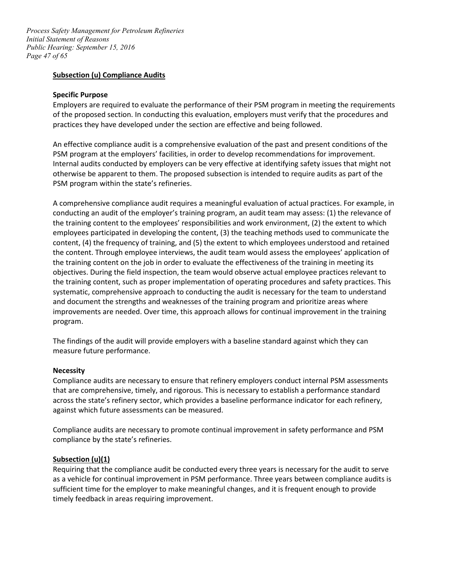*Page 47 of 65 Process Safety Management for Petroleum Refineries Initial Statement of Reasons Public Hearing: September 15, 2016* 

#### **Subsection (u) Compliance Audits**

#### **Specific Purpose**

 Employers are required to evaluate the performance of their PSM program in meeting the requirements of the proposed section. In conducting this evaluation, employers must verify that the procedures and practices they have developed under the section are effective and being followed.

practices they have developed under the section are effective and being followed.<br>An effective compliance audit is a comprehensive evaluation of the past and present conditions of the PSM program at the employers' facilities, in order to develop recommendations for improvement. Internal audits conducted by employers can be very effective at identifying safety issues that might not otherwise be apparent to them. The proposed subsection is intended to require audits as part of the PSM program within the state's refineries.

 the training content to the employees' responsibilities and work environment, (2) the extent to which the training content on the job in order to evaluate the effectiveness of the training in meeting its objectives. During the field inspection, the team would observe actual employee practices relevant to the training content, such as proper implementation of operating procedures and safety practices. This systematic, comprehensive approach to conducting the audit is necessary for the team to understand A comprehensive compliance audit requires a meaningful evaluation of actual practices. For example, in conducting an audit of the employer's training program, an audit team may assess: (1) the relevance of employees participated in developing the content, (3) the teaching methods used to communicate the content, (4) the frequency of training, and (5) the extent to which employees understood and retained the content. Through employee interviews, the audit team would assess the employees' application of and document the strengths and weaknesses of the training program and prioritize areas where improvements are needed. Over time, this approach allows for continual improvement in the training program.

The findings of the audit will provide employers with a baseline standard against which they can measure future performance.

#### **Necessity**

 that are comprehensive, timely, and rigorous. This is necessary to establish a performance standard Compliance audits are necessary to ensure that refinery employers conduct internal PSM assessments across the state's refinery sector, which provides a baseline performance indicator for each refinery, against which future assessments can be measured.

Compliance audits are necessary to promote continual improvement in safety performance and PSM compliance by the state's refineries.

#### **Subsection (u)(1)**

 sufficient time for the employer to make meaningful changes, and it is frequent enough to provide Requiring that the compliance audit be conducted every three years is necessary for the audit to serve as a vehicle for continual improvement in PSM performance. Three years between compliance audits is timely feedback in areas requiring improvement.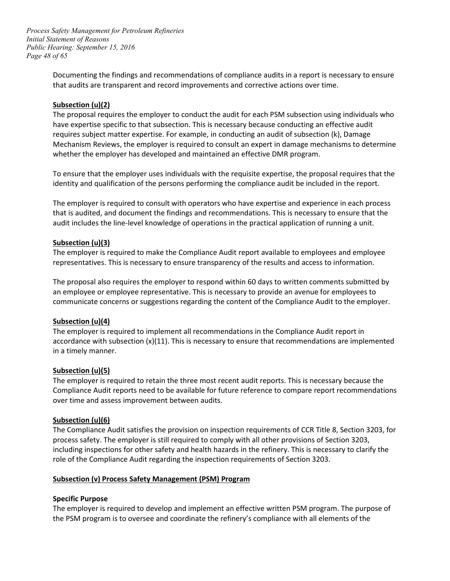*Page 48 of 65 Process Safety Management for Petroleum Refineries Initial Statement of Reasons Public Hearing: September 15, 2016* 

> Documenting the findings and recommendations of compliance audits in a report is necessary to ensure that audits are transparent and record improvements and corrective actions over time.

#### **Subsection (u)(2)**

 The proposal requires the employer to conduct the audit for each PSM subsection using individuals who have expertise specific to that subsection. This is necessary because conducting an effective audit whether the employer has developed and maintained an effective DMR program. requires subject matter expertise. For example, in conducting an audit of subsection (k), Damage Mechanism Reviews, the employer is required to consult an expert in damage mechanisms to determine

To ensure that the employer uses individuals with the requisite expertise, the proposal requires that the identity and qualification of the persons performing the compliance audit be included in the report.

 The employer is required to consult with operators who have expertise and experience in each process that is audited, and document the findings and recommendations. This is necessary to ensure that the audit includes the line-level knowledge of operations in the practical application of running a unit.

# **Subsection (u)(3)**

 The employer is required to make the Compliance Audit report available to employees and employee representatives. This is necessary to ensure transparency of the results and access to information.

 an employee or employee representative. This is necessary to provide an avenue for employees to communicate concerns or suggestions regarding the content of the Compliance Audit to the employer. The proposal also requires the employer to respond within 60 days to written comments submitted by

# **Subsection (u)(4)**

The employer is required to implement all recommendations in the Compliance Audit report in accordance with subsection (x)(11). This is necessary to ensure that recommendations are implemented in a timely manner.

#### **Subsection (u)(5)**

 over time and assess improvement between audits. The employer is required to retain the three most recent audit reports. This is necessary because the Compliance Audit reports need to be available for future reference to compare report recommendations

#### **Subsection (u)(6)**

 process safety. The employer is still required to comply with all other provisions of Section 3203, The Compliance Audit satisfies the provision on inspection requirements of CCR Title 8, Section 3203, for including inspections for other safety and health hazards in the refinery. This is necessary to clarify the role of the Compliance Audit regarding the inspection requirements of Section 3203.

#### **Subsection (v) Process Safety Management (PSM) Program**

#### **Specific Purpose**

 the PSM program is to oversee and coordinate the refinery's compliance with all elements of the The employer is required to develop and implement an effective written PSM program. The purpose of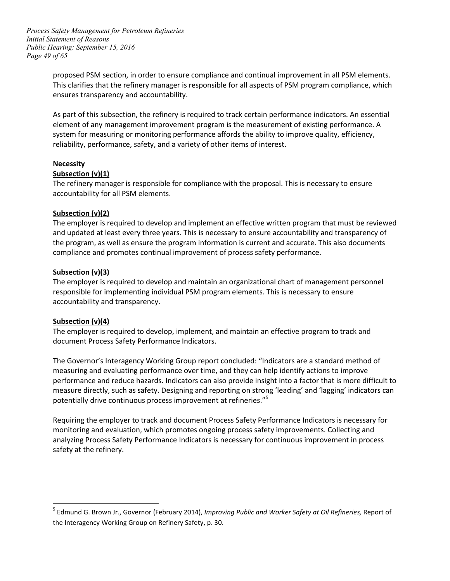*Page 49 of 65 Process Safety Management for Petroleum Refineries Initial Statement of Reasons Public Hearing: September 15, 2016* 

> proposed PSM section, in order to ensure compliance and continual improvement in all PSM elements. This clarifies that the refinery manager is responsible for all aspects of PSM program compliance, which ensures transparency and accountability.

> As part of this subsection, the refinery is required to track certain performance indicators. An essential element of any management improvement program is the measurement of existing performance. A reliability, performance, safety, and a variety of other items of interest. system for measuring or monitoring performance affords the ability to improve quality, efficiency,

# **Necessity**

#### **Subsection (v)(1)**

The refinery manager is responsible for compliance with the proposal. This is necessary to ensure accountability for all PSM elements.

# **Subsection (v)(2)**

 and updated at least every three years. This is necessary to ensure accountability and transparency of The employer is required to develop and implement an effective written program that must be reviewed the program, as well as ensure the program information is current and accurate. This also documents compliance and promotes continual improvement of process safety performance.

#### **Subsection (v)(3)**

 The employer is required to develop and maintain an organizational chart of management personnel responsible for implementing individual PSM program elements. This is necessary to ensure accountability and transparency.

# **Subsection (v)(4)**

 $\overline{a}$ 

 The employer is required to develop, implement, and maintain an effective program to track and document Process Safety Performance Indicators.

 The Governor's Interagency Working Group report concluded: "Indicators are a standard method of measuring and evaluating performance over time, and they can help identify actions to improve performance and reduce hazards. Indicators can also provide insight into a factor that is more difficult to measure directly, such as safety. Designing and reporting on strong 'leading' and 'lagging' indicators can potentially drive continuous process improvement at refineries."[5](#page-48-0)

Requiring the employer to track and document Process Safety Performance Indicators is necessary for monitoring and evaluation, which promotes ongoing process safety improvements. Collecting and analyzing Process Safety Performance Indicators is necessary for continuous improvement in process safety at the refinery.

<span id="page-48-0"></span><sup>5</sup> Edmund G. Brown Jr., Governor (February 2014), *Improving Public and Worker Safety at Oil Refineries,* Report of the Interagency Working Group on Refinery Safety, p. 30.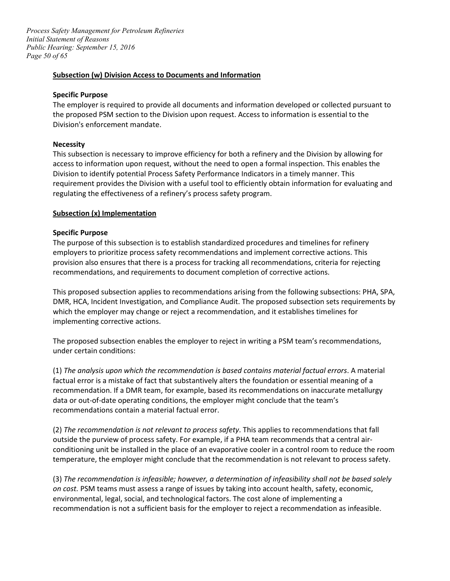*Page 50 of 65 Process Safety Management for Petroleum Refineries Initial Statement of Reasons Public Hearing: September 15, 2016* 

#### **Subsection (w) Division Access to Documents and Information**

#### **Specific Purpose**

 the proposed PSM section to the Division upon request. Access to information is essential to the The employer is required to provide all documents and information developed or collected pursuant to Division's enforcement mandate.

#### **Necessity**

 This subsection is necessary to improve efficiency for both a refinery and the Division by allowing for access to information upon request, without the need to open a formal inspection. This enables the Division to identify potential Process Safety Performance Indicators in a timely manner. This requirement provides the Division with a useful tool to efficiently obtain information for evaluating and regulating the effectiveness of a refinery's process safety program.

#### **Subsection (x) Implementation**

#### **Specific Purpose**

The purpose of this subsection is to establish standardized procedures and timelines for refinery employers to prioritize process safety recommendations and implement corrective actions. This provision also ensures that there is a process for tracking all recommendations, criteria for rejecting recommendations, and requirements to document completion of corrective actions.

 This proposed subsection applies to recommendations arising from the following subsections: PHA, SPA, which the employer may change or reject a recommendation, and it establishes timelines for DMR, HCA, Incident Investigation, and Compliance Audit. The proposed subsection sets requirements by implementing corrective actions.

The proposed subsection enables the employer to reject in writing a PSM team's recommendations, under certain conditions:

 data or out-of-date operating conditions, the employer might conclude that the team's recommendations contain a material factual error. (1) *The analysis upon which the recommendation is based contains material factual errors*. A material factual error is a mistake of fact that substantively alters the foundation or essential meaning of a recommendation. If a DMR team, for example, based its recommendations on inaccurate metallurgy

 conditioning unit be installed in the place of an evaporative cooler in a control room to reduce the room temperature, the employer might conclude that the recommendation is not relevant to process safety. (2) *The recommendation is not relevant to process safety*. This applies to recommendations that fall outside the purview of process safety. For example, if a PHA team recommends that a central air-

 *on cost.* PSM teams must assess a range of issues by taking into account health, safety, economic, (3) *The recommendation is infeasible; however, a determination of infeasibility shall not be based solely*  environmental, legal, social, and technological factors. The cost alone of implementing a recommendation is not a sufficient basis for the employer to reject a recommendation as infeasible.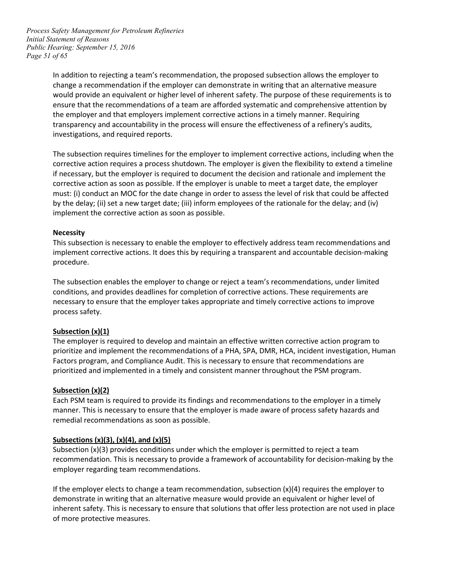*Page 51 of 65 Process Safety Management for Petroleum Refineries Initial Statement of Reasons Public Hearing: September 15, 2016* 

> In addition to rejecting a team's recommendation, the proposed subsection allows the employer to change a recommendation if the employer can demonstrate in writing that an alternative measure ensure that the recommendations of a team are afforded systematic and comprehensive attention by would provide an equivalent or higher level of inherent safety. The purpose of these requirements is to the employer and that employers implement corrective actions in a timely manner. Requiring transparency and accountability in the process will ensure the effectiveness of a refinery's audits, investigations, and required reports.

> The subsection requires timelines for the employer to implement corrective actions, including when the must: (i) conduct an MOC for the date change in order to assess the level of risk that could be affected corrective action requires a process shutdown. The employer is given the flexibility to extend a timeline if necessary, but the employer is required to document the decision and rationale and implement the corrective action as soon as possible. If the employer is unable to meet a target date, the employer by the delay; (ii) set a new target date; (iii) inform employees of the rationale for the delay; and (iv) implement the corrective action as soon as possible.

#### **Necessity**

This subsection is necessary to enable the employer to effectively address team recommendations and implement corrective actions. It does this by requiring a transparent and accountable decision-making procedure.

 The subsection enables the employer to change or reject a team's recommendations, under limited conditions, and provides deadlines for completion of corrective actions. These requirements are necessary to ensure that the employer takes appropriate and timely corrective actions to improve process safety.

#### **Subsection (x)(1)**

 The employer is required to develop and maintain an effective written corrective action program to prioritize and implement the recommendations of a PHA, SPA, DMR, HCA, incident investigation, Human Factors program, and Compliance Audit. This is necessary to ensure that recommendations are prioritized and implemented in a timely and consistent manner throughout the PSM program.

#### **Subsection (x)(2)**

 Each PSM team is required to provide its findings and recommendations to the employer in a timely remedial recommendations as soon as possible. manner. This is necessary to ensure that the employer is made aware of process safety hazards and

#### **Subsections (x)(3), (x)(4), and (x)(5)**

employer regarding team recommendations. Subsection (x)(3) provides conditions under which the employer is permitted to reject a team recommendation. This is necessary to provide a framework of accountability for decision-making by the

employer regarding team recommendations.<br>If the employer elects to change a team recommendation, subsection (x)(4) requires the employer to demonstrate in writing that an alternative measure would provide an equivalent or higher level of inherent safety. This is necessary to ensure that solutions that offer less protection are not used in place of more protective measures.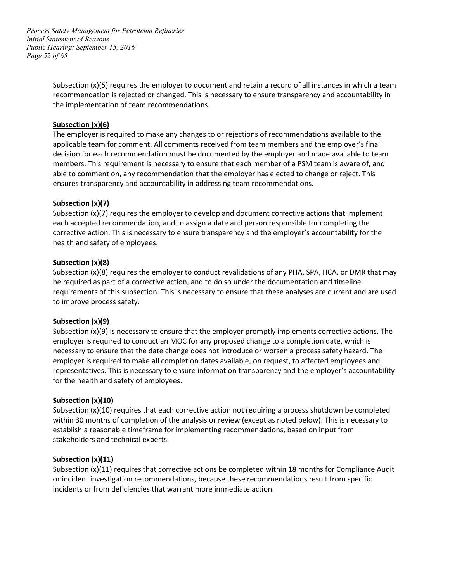*Page 52 of 65 Process Safety Management for Petroleum Refineries Initial Statement of Reasons Public Hearing: September 15, 2016* 

> the implementation of team recommendations. Subsection (x)(5) requires the employer to document and retain a record of all instances in which a team recommendation is rejected or changed. This is necessary to ensure transparency and accountability in

#### **Subsection (x)(6)**

 The employer is required to make any changes to or rejections of recommendations available to the members. This requirement is necessary to ensure that each member of a PSM team is aware of, and applicable team for comment. All comments received from team members and the employer's final decision for each recommendation must be documented by the employer and made available to team able to comment on, any recommendation that the employer has elected to change or reject. This ensures transparency and accountability in addressing team recommendations.

# **Subsection (x)(7)**

 Subsection (x)(7) requires the employer to develop and document corrective actions that implement each accepted recommendation, and to assign a date and person responsible for completing the health and safety of employees. corrective action. This is necessary to ensure transparency and the employer's accountability for the

# **Subsection (x)(8)**

 Subsection (x)(8) requires the employer to conduct revalidations of any PHA, SPA, HCA, or DMR that may requirements of this subsection. This is necessary to ensure that these analyses are current and are used be required as part of a corrective action, and to do so under the documentation and timeline to improve process safety.

#### **Subsection (x)(9)**

 employer is required to conduct an MOC for any proposed change to a completion date, which is representatives. This is necessary to ensure information transparency and the employer's accountability for the health and safety of employees. Subsection (x)(9) is necessary to ensure that the employer promptly implements corrective actions. The necessary to ensure that the date change does not introduce or worsen a process safety hazard. The employer is required to make all completion dates available, on request, to affected employees and

#### **Subsection (x)(10)**

 within 30 months of completion of the analysis or review (except as noted below). This is necessary to establish a reasonable timeframe for implementing recommendations, based on input from Subsection (x)(10) requires that each corrective action not requiring a process shutdown be completed stakeholders and technical experts.

#### **Subsection (x)(11)**

 Subsection (x)(11) requires that corrective actions be completed within 18 months for Compliance Audit or incident investigation recommendations, because these recommendations result from specific incidents or from deficiencies that warrant more immediate action.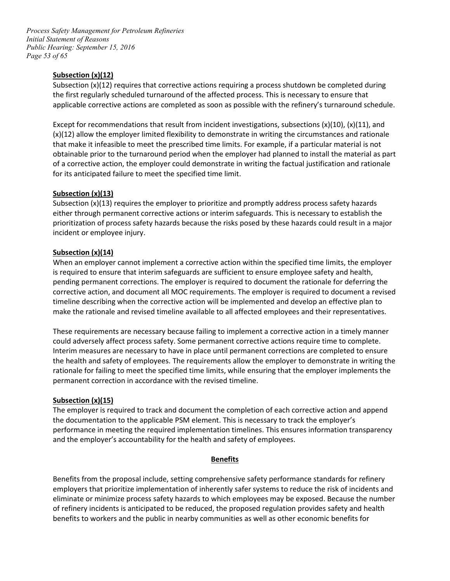*Page 53 of 65 Process Safety Management for Petroleum Refineries Initial Statement of Reasons Public Hearing: September 15, 2016* 

# **Subsection (x)(12)**

 the first regularly scheduled turnaround of the affected process. This is necessary to ensure that Subsection  $(x)(12)$  requires that corrective actions requiring a process shutdown be completed during applicable corrective actions are completed as soon as possible with the refinery's turnaround schedule.

 Except for recommendations that result from incident investigations, subsections (x)(10), (x)(11), and for its anticipated failure to meet the specified time limit. (x)(12) allow the employer limited flexibility to demonstrate in writing the circumstances and rationale that make it infeasible to meet the prescribed time limits. For example, if a particular material is not obtainable prior to the turnaround period when the employer had planned to install the material as part of a corrective action, the employer could demonstrate in writing the factual justification and rationale

# **Subsection (x)(13)**

Subsection (x)(13) requires the employer to prioritize and promptly address process safety hazards either through permanent corrective actions or interim safeguards. This is necessary to establish the prioritization of process safety hazards because the risks posed by these hazards could result in a major incident or employee injury.

# **Subsection (x)(14)**

 When an employer cannot implement a corrective action within the specified time limits, the employer is required to ensure that interim safeguards are sufficient to ensure employee safety and health, pending permanent corrections. The employer is required to document the rationale for deferring the corrective action, and document all MOC requirements. The employer is required to document a revised timeline describing when the corrective action will be implemented and develop an effective plan to make the rationale and revised timeline available to all affected employees and their representatives.

 These requirements are necessary because failing to implement a corrective action in a timely manner the health and safety of employees. The requirements allow the employer to demonstrate in writing the rationale for failing to meet the specified time limits, while ensuring that the employer implements the permanent correction in accordance with the revised timeline. could adversely affect process safety. Some permanent corrective actions require time to complete. Interim measures are necessary to have in place until permanent corrections are completed to ensure

#### **Subsection (x)(15)**

 The employer is required to track and document the completion of each corrective action and append the documentation to the applicable PSM element. This is necessary to track the employer's performance in meeting the required implementation timelines. This ensures information transparency and the employer's accountability for the health and safety of employees.

#### **Benefits**

Benefits from the proposal include, setting comprehensive safety performance standards for refinery employers that prioritize implementation of inherently safer systems to reduce the risk of incidents and eliminate or minimize process safety hazards to which employees may be exposed. Because the number of refinery incidents is anticipated to be reduced, the proposed regulation provides safety and health benefits to workers and the public in nearby communities as well as other economic benefits for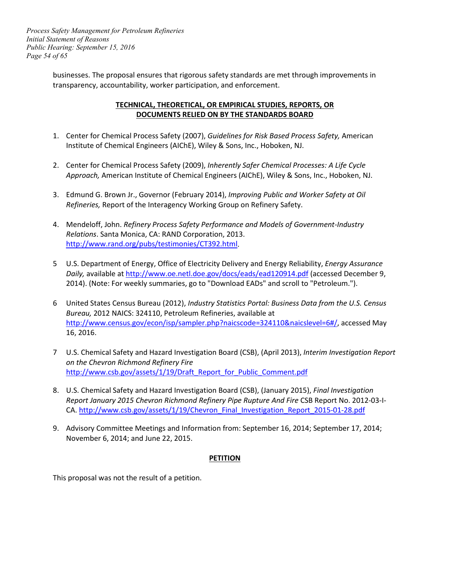*Page 54 of 65 Process Safety Management for Petroleum Refineries Initial Statement of Reasons Public Hearing: September 15, 2016* 

> businesses. The proposal ensures that rigorous safety standards are met through improvements in transparency, accountability, worker participation, and enforcement.

# **TECHNICAL, THEORETICAL, OR EMPIRICAL STUDIES, REPORTS, OR DOCUMENTS RELIED ON BY THE STANDARDS BOARD**

- 1. Center for Chemical Process Safety (2007), *Guidelines for Risk Based Process Safety,* American Institute of Chemical Engineers (AIChE), Wiley & Sons, Inc., Hoboken, NJ.
- 2. Center for Chemical Process Safety (2009), *Inherently Safer Chemical Processes: A Life Cycle Approach,* American Institute of Chemical Engineers (AIChE), Wiley & Sons, Inc., Hoboken, NJ.
- 3. Edmund G. Brown Jr., Governor (February 2014), *Improving Public and Worker Safety at Oil Refineries,* Report of the Interagency Working Group on Refinery Safety.
- 4. Mendeloff, John. *Refinery Process Safety Performance and Models of Government-Industry Relations*. Santa Monica, CA: RAND Corporation, 2013. [http://www.rand.org/pubs/testimonies/CT392.html.](http://www.rand.org/pubs/testimonies/CT392.html)
- 5 U.S. Department of Energy, Office of Electricity Delivery and Energy Reliability, *Energy Assurance*  2014). (Note: For weekly summaries, go to "Download EADs" and scroll to "Petroleum."). *Daily,* available at<http://www.oe.netl.doe.gov/docs/eads/ead120914.pdf>(accessed December 9,
- 6 United States Census Bureau (2012), *Industry Statistics Portal: Business Data from the U.S. Census Bureau,* 2012 NAICS: 324110, Petroleum Refineries, available at [http://www.census.gov/econ/isp/sampler.php?naicscode=324110&naicslevel=6#/,](http://www.census.gov/econ/isp/sampler.php?naicscode=324110&naicslevel=6%23/) accessed May 16, 2016.
- 7 U.S. Chemical Safety and Hazard Investigation Board (CSB), (April 2013), *Interim Investigation Report on the Chevron Richmond Refinery Fire*  [http://www.csb.gov/assets/1/19/Draft\\_Report\\_for\\_Public\\_Comment.pdf](http://www.csb.gov/assets/1/19/Draft_Report_for_Public_Comment.pdf)
- CA. http://www.csb.gov/assets/1/19/Chevron Final Investigation Report 2015-01-28.pdf 8. U.S. Chemical Safety and Hazard Investigation Board (CSB), (January 2015), *Final Investigation Report January 2015 Chevron Richmond Refinery Pipe Rupture And Fire* CSB Report No. 2012-03-I-
- 9. Advisory Committee Meetings and Information from: September 16, 2014; September 17, 2014; November 6, 2014; and June 22, 2015.

# **PETITION**

This proposal was not the result of a petition.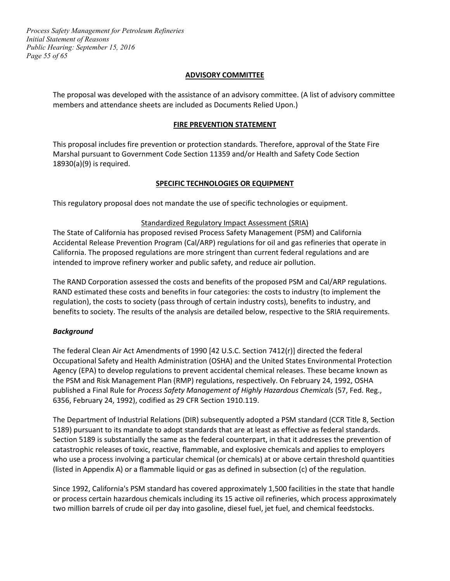*Page 55 of 65 Process Safety Management for Petroleum Refineries Initial Statement of Reasons Public Hearing: September 15, 2016* 

#### **ADVISORY COMMITTEE**

 The proposal was developed with the assistance of an advisory committee. (A list of advisory committee members and attendance sheets are included as Documents Relied Upon.)

#### **FIRE PREVENTION STATEMENT**

 This proposal includes fire prevention or protection standards. Therefore, approval of the State Fire Marshal pursuant to Government Code Section 11359 and/or Health and Safety Code Section 18930(a)(9) is required.

#### **SPECIFIC TECHNOLOGIES OR EQUIPMENT**

This regulatory proposal does not mandate the use of specific technologies or equipment.

#### Standardized Regulatory Impact Assessment (SRIA)

The State of California has proposed revised Process Safety Management (PSM) and California Accidental Release Prevention Program (Cal/ARP) regulations for oil and gas refineries that operate in California. The proposed regulations are more stringent than current federal regulations and are intended to improve refinery worker and public safety, and reduce air pollution.

 RAND estimated these costs and benefits in four categories: the costs to industry (to implement the regulation), the costs to society (pass through of certain industry costs), benefits to industry, and The RAND Corporation assessed the costs and benefits of the proposed PSM and Cal/ARP regulations. benefits to society. The results of the analysis are detailed below, respective to the SRIA requirements.

#### *Background*

 the PSM and Risk Management Plan (RMP) regulations, respectively. On February 24, 1992, OSHA The federal Clean Air Act Amendments of 1990 [42 U.S.C. Section 7412(r)] directed the federal Occupational Safety and Health Administration (OSHA) and the United States Environmental Protection Agency (EPA) to develop regulations to prevent accidental chemical releases. These became known as published a Final Rule for *Process Safety Management of Highly Hazardous Chemicals* (57, Fed. Reg., 6356, February 24, 1992), codified as 29 CFR Section 1910.119.

 The Department of Industrial Relations (DIR) subsequently adopted a PSM standard (CCR Title 8, Section 5189) pursuant to its mandate to adopt standards that are at least as effective as federal standards. (listed in Appendix A) or a flammable liquid or gas as defined in subsection (c) of the regulation. Section 5189 is substantially the same as the federal counterpart, in that it addresses the prevention of catastrophic releases of toxic, reactive, flammable, and explosive chemicals and applies to employers who use a process involving a particular chemical (or chemicals) at or above certain threshold quantities

 Since 1992, California's PSM standard has covered approximately 1,500 facilities in the state that handle or process certain hazardous chemicals including its 15 active oil refineries, which process approximately two million barrels of crude oil per day into gasoline, diesel fuel, jet fuel, and chemical feedstocks.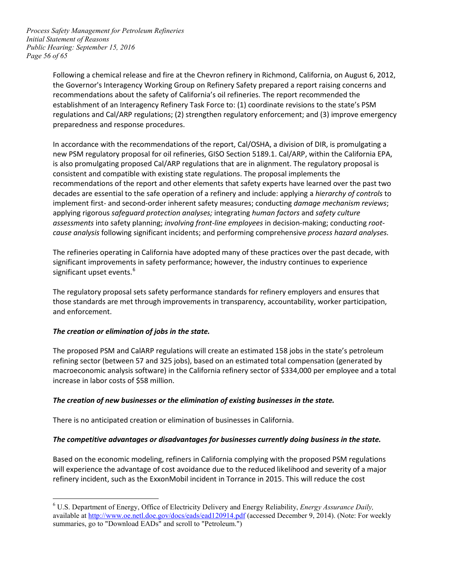*Page 56 of 65 Process Safety Management for Petroleum Refineries Initial Statement of Reasons Public Hearing: September 15, 2016* 

> Following a chemical release and fire at the Chevron refinery in Richmond, California, on August 6, 2012, recommendations about the safety of California's oil refineries. The report recommended the the Governor's Interagency Working Group on Refinery Safety prepared a report raising concerns and establishment of an Interagency Refinery Task Force to: (1) coordinate revisions to the state's PSM regulations and Cal/ARP regulations; (2) strengthen regulatory enforcement; and (3) improve emergency preparedness and response procedures.

 implement first- and second-order inherent safety measures; conducting *damage mechanism reviews*;  *cause analysis* following significant incidents; and performing comprehensive *process hazard analyses.* In accordance with the recommendations of the report, Cal/OSHA, a division of DIR, is promulgating a new PSM regulatory proposal for oil refineries, GISO Section 5189.1. Cal/ARP, within the California EPA, is also promulgating proposed Cal/ARP regulations that are in alignment. The regulatory proposal is consistent and compatible with existing state regulations. The proposal implements the recommendations of the report and other elements that safety experts have learned over the past two decades are essential to the safe operation of a refinery and include: applying a *hierarchy of controls* to applying rigorous *safeguard protection analyses;* integrating *human factors* and *safety culture assessments* into safety planning; *involving front-line employees* in decision-making; conducting *root-*

 The refineries operating in California have adopted many of these practices over the past decade, with significant upset events.<sup>[6](#page-55-0)</sup> significant improvements in safety performance; however, the industry continues to experience

The regulatory proposal sets safety performance standards for refinery employers and ensures that those standards are met through improvements in transparency, accountability, worker participation, and enforcement.

#### *The creation or elimination of jobs in the state.*

 The proposed PSM and CalARP regulations will create an estimated 158 jobs in the state's petroleum increase in labor costs of \$58 million. refining sector (between 57 and 325 jobs), based on an estimated total compensation (generated by macroeconomic analysis software) in the California refinery sector of \$334,000 per employee and a total

# *The creation of new businesses or the elimination of existing businesses in the state.*

There is no anticipated creation or elimination of businesses in California.

#### *The competitive advantages or disadvantages for businesses currently doing business in the state.*

 Based on the economic modeling, refiners in California complying with the proposed PSM regulations will experience the advantage of cost avoidance due to the reduced likelihood and severity of a major refinery incident, such as the ExxonMobil incident in Torrance in 2015. This will reduce the cost

<span id="page-55-0"></span>available at<http://www.oe.netl.doe.gov/docs/eads/ead120914.pdf>(accessed December 9, 2014). (Note: For weekly  $\overline{a}$ 6 U.S. Department of Energy, Office of Electricity Delivery and Energy Reliability, *Energy Assurance Daily,*  summaries, go to "Download EADs" and scroll to "Petroleum.")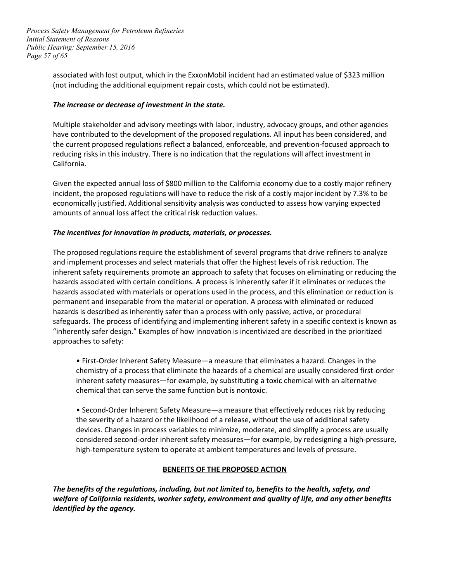*Page 57 of 65 Process Safety Management for Petroleum Refineries Initial Statement of Reasons Public Hearing: September 15, 2016* 

> associated with lost output, which in the ExxonMobil incident had an estimated value of \$323 million (not including the additional equipment repair costs, which could not be estimated).

# *The increase or decrease of investment in the state.*

Multiple stakeholder and advisory meetings with labor, industry, advocacy groups, and other agencies have contributed to the development of the proposed regulations. All input has been considered, and the current proposed regulations reflect a balanced, enforceable, and prevention-focused approach to reducing risks in this industry. There is no indication that the regulations will affect investment in California.

 Given the expected annual loss of \$800 million to the California economy due to a costly major refinery incident, the proposed regulations will have to reduce the risk of a costly major incident by 7.3% to be economically justified. Additional sensitivity analysis was conducted to assess how varying expected amounts of annual loss affect the critical risk reduction values.

# *The incentives for innovation in products, materials, or processes.*

 The proposed regulations require the establishment of several programs that drive refiners to analyze hazards associated with certain conditions. A process is inherently safer if it eliminates or reduces the permanent and inseparable from the material or operation. A process with eliminated or reduced and implement processes and select materials that offer the highest levels of risk reduction. The inherent safety requirements promote an approach to safety that focuses on eliminating or reducing the hazards associated with materials or operations used in the process, and this elimination or reduction is hazards is described as inherently safer than a process with only passive, active, or procedural safeguards. The process of identifying and implementing inherent safety in a specific context is known as "inherently safer design." Examples of how innovation is incentivized are described in the prioritized approaches to safety:

 chemistry of a process that eliminate the hazards of a chemical are usually considered first-order • First-Order Inherent Safety Measure—a measure that eliminates a hazard. Changes in the inherent safety measures—for example, by substituting a toxic chemical with an alternative chemical that can serve the same function but is nontoxic.

 devices. Changes in process variables to minimize, moderate, and simplify a process are usually high-temperature system to operate at ambient temperatures and levels of pressure. • Second-Order Inherent Safety Measure—a measure that effectively reduces risk by reducing the severity of a hazard or the likelihood of a release, without the use of additional safety considered second-order inherent safety measures—for example, by redesigning a high-pressure,

#### **BENEFITS OF THE PROPOSED ACTION**

 *The benefits of the regulations, including, but not limited to, benefits to the health, safety, and welfare of California residents, worker safety, environment and quality of life, and any other benefits identified by the agency.*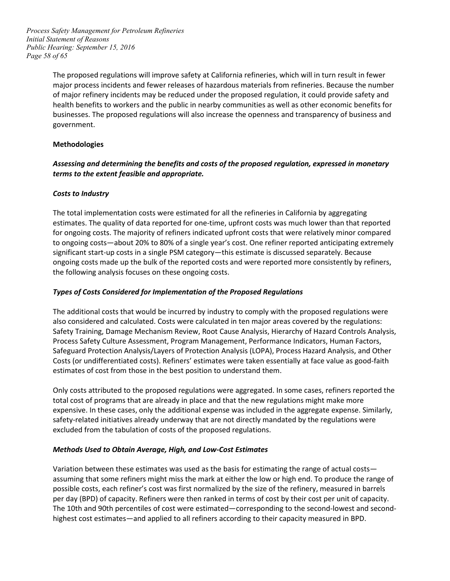*Page 58 of 65 Process Safety Management for Petroleum Refineries Initial Statement of Reasons Public Hearing: September 15, 2016* 

> The proposed regulations will improve safety at California refineries, which will in turn result in fewer health benefits to workers and the public in nearby communities as well as other economic benefits for government. major process incidents and fewer releases of hazardous materials from refineries. Because the number of major refinery incidents may be reduced under the proposed regulation, it could provide safety and businesses. The proposed regulations will also increase the openness and transparency of business and

#### **Methodologies**

# *Assessing and determining the benefits and costs of the proposed regulation, expressed in monetary terms to the extent feasible and appropriate.*

# *Costs to Industry*

 to ongoing costs—about 20% to 80% of a single year's cost. One refiner reported anticipating extremely ongoing costs made up the bulk of the reported costs and were reported more consistently by refiners, The total implementation costs were estimated for all the refineries in California by aggregating estimates. The quality of data reported for one-time, upfront costs was much lower than that reported for ongoing costs. The majority of refiners indicated upfront costs that were relatively minor compared significant start-up costs in a single PSM category—this estimate is discussed separately. Because the following analysis focuses on these ongoing costs.

# *Types of Costs Considered for Implementation of the Proposed Regulations*

 The additional costs that would be incurred by industry to comply with the proposed regulations were Process Safety Culture Assessment, Program Management, Performance Indicators, Human Factors, also considered and calculated. Costs were calculated in ten major areas covered by the regulations: Safety Training, Damage Mechanism Review, Root Cause Analysis, Hierarchy of Hazard Controls Analysis, Safeguard Protection Analysis/Layers of Protection Analysis (LOPA), Process Hazard Analysis, and Other Costs (or undifferentiated costs). Refiners' estimates were taken essentially at face value as good-faith estimates of cost from those in the best position to understand them.

 expensive. In these cases, only the additional expense was included in the aggregate expense. Similarly, safety-related initiatives already underway that are not directly mandated by the regulations were excluded from the tabulation of costs of the proposed regulations. Only costs attributed to the proposed regulations were aggregated. In some cases, refiners reported the total cost of programs that are already in place and that the new regulations might make more

#### *Methods Used to Obtain Average, High, and Low-Cost Estimates*

 assuming that some refiners might miss the mark at either the low or high end. To produce the range of per day (BPD) of capacity. Refiners were then ranked in terms of cost by their cost per unit of capacity. Variation between these estimates was used as the basis for estimating the range of actual costs possible costs, each refiner's cost was first normalized by the size of the refinery, measured in barrels The 10th and 90th percentiles of cost were estimated—corresponding to the second-lowest and secondhighest cost estimates—and applied to all refiners according to their capacity measured in BPD.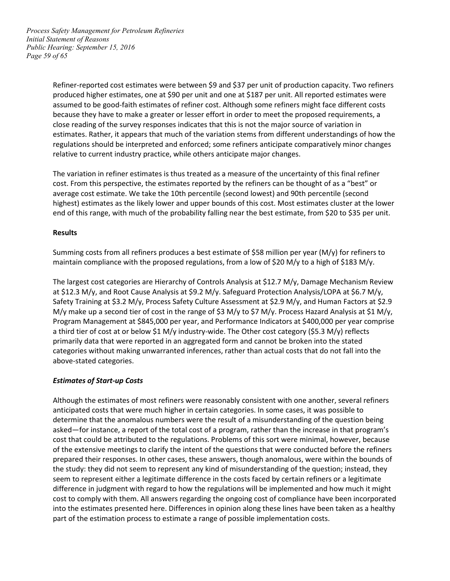*Page 59 of 65 Process Safety Management for Petroleum Refineries Initial Statement of Reasons Public Hearing: September 15, 2016* 

> because they have to make a greater or lesser effort in order to meet the proposed requirements, a Refiner-reported cost estimates were between \$9 and \$37 per unit of production capacity. Two refiners produced higher estimates, one at \$90 per unit and one at \$187 per unit. All reported estimates were assumed to be good-faith estimates of refiner cost. Although some refiners might face different costs close reading of the survey responses indicates that this is not the major source of variation in estimates. Rather, it appears that much of the variation stems from different understandings of how the regulations should be interpreted and enforced; some refiners anticipate comparatively minor changes relative to current industry practice, while others anticipate major changes.

> cost. From this perspective, the estimates reported by the refiners can be thought of as a "best" or highest) estimates as the likely lower and upper bounds of this cost. Most estimates cluster at the lower end of this range, with much of the probability falling near the best estimate, from \$20 to \$35 per unit. The variation in refiner estimates is thus treated as a measure of the uncertainty of this final refiner average cost estimate. We take the 10th percentile (second lowest) and 90th percentile (second

#### **Results**

 Summing costs from all refiners produces a best estimate of \$58 million per year (M/y) for refiners to maintain compliance with the proposed regulations, from a low of \$20 M/y to a high of \$183 M/y.

 The largest cost categories are Hierarchy of Controls Analysis at \$12.7 M/y, Damage Mechanism Review at \$12.3 M/y, and Root Cause Analysis at \$9.2 M/y. Safeguard Protection Analysis/LOPA at \$6.7 M/y, Safety Training at \$3.2 M/y, Process Safety Culture Assessment at \$2.9 M/y, and Human Factors at \$2.9 M/y make up a second tier of cost in the range of \$3 M/y to \$7 M/y. Process Hazard Analysis at \$1 M/y, a third tier of cost at or below \$1 M/y industry-wide. The Other cost category (\$5.3 M/y) reflects categories without making unwarranted inferences, rather than actual costs that do not fall into the Program Management at \$845,000 per year, and Performance Indicators at \$400,000 per year comprise primarily data that were reported in an aggregated form and cannot be broken into the stated above-stated categories.

#### *Estimates of Start-up Costs*

 Although the estimates of most refiners were reasonably consistent with one another, several refiners determine that the anomalous numbers were the result of a misunderstanding of the question being cost that could be attributed to the regulations. Problems of this sort were minimal, however, because difference in judgment with regard to how the regulations will be implemented and how much it might cost to comply with them. All answers regarding the ongoing cost of compliance have been incorporated anticipated costs that were much higher in certain categories. In some cases, it was possible to asked—for instance, a report of the total cost of a program, rather than the increase in that program's of the extensive meetings to clarify the intent of the questions that were conducted before the refiners prepared their responses. In other cases, these answers, though anomalous, were within the bounds of the study: they did not seem to represent any kind of misunderstanding of the question; instead, they seem to represent either a legitimate difference in the costs faced by certain refiners or a legitimate into the estimates presented here. Differences in opinion along these lines have been taken as a healthy part of the estimation process to estimate a range of possible implementation costs.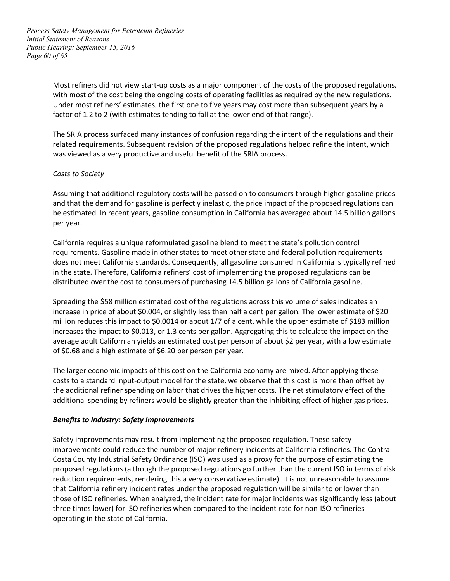*Page 60 of 65 Process Safety Management for Petroleum Refineries Initial Statement of Reasons Public Hearing: September 15, 2016* 

> Most refiners did not view start-up costs as a major component of the costs of the proposed regulations, with most of the cost being the ongoing costs of operating facilities as required by the new regulations. factor of 1.2 to 2 (with estimates tending to fall at the lower end of that range). Under most refiners' estimates, the first one to five years may cost more than subsequent years by a

 related requirements. Subsequent revision of the proposed regulations helped refine the intent, which The SRIA process surfaced many instances of confusion regarding the intent of the regulations and their was viewed as a very productive and useful benefit of the SRIA process.

#### *Costs to Society*

 Assuming that additional regulatory costs will be passed on to consumers through higher gasoline prices and that the demand for gasoline is perfectly inelastic, the price impact of the proposed regulations can be estimated. In recent years, gasoline consumption in California has averaged about 14.5 billion gallons per year.

 requirements. Gasoline made in other states to meet other state and federal pollution requirements California requires a unique reformulated gasoline blend to meet the state's pollution control does not meet California standards. Consequently, all gasoline consumed in California is typically refined in the state. Therefore, California refiners' cost of implementing the proposed regulations can be distributed over the cost to consumers of purchasing 14.5 billion gallons of California gasoline.

 Spreading the \$58 million estimated cost of the regulations across this volume of sales indicates an increase in price of about \$0.004, or slightly less than half a cent per gallon. The lower estimate of \$20 million reduces this impact to \$0.0014 or about 1/7 of a cent, while the upper estimate of \$183 million increases the impact to \$0.013, or 1.3 cents per gallon. Aggregating this to calculate the impact on the average adult Californian yields an estimated cost per person of about \$2 per year, with a low estimate of \$0.68 and a high estimate of \$6.20 per person per year.

 The larger economic impacts of this cost on the California economy are mixed. After applying these the additional refiner spending on labor that drives the higher costs. The net stimulatory effect of the costs to a standard input-output model for the state, we observe that this cost is more than offset by additional spending by refiners would be slightly greater than the inhibiting effect of higher gas prices.

#### *Benefits to Industry: Safety Improvements*

 Safety improvements may result from implementing the proposed regulation. These safety proposed regulations (although the proposed regulations go further than the current ISO in terms of risk improvements could reduce the number of major refinery incidents at California refineries. The Contra Costa County Industrial Safety Ordinance (ISO) was used as a proxy for the purpose of estimating the reduction requirements, rendering this a very conservative estimate). It is not unreasonable to assume that California refinery incident rates under the proposed regulation will be similar to or lower than those of ISO refineries. When analyzed, the incident rate for major incidents was significantly less (about three times lower) for ISO refineries when compared to the incident rate for non-ISO refineries operating in the state of California.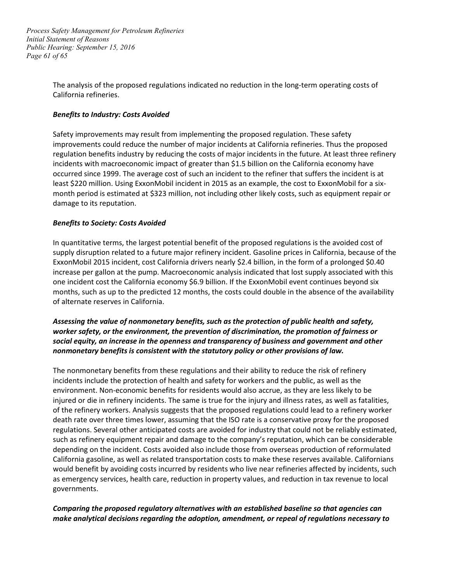*Page 61 of 65 Process Safety Management for Petroleum Refineries Initial Statement of Reasons Public Hearing: September 15, 2016* 

> The analysis of the proposed regulations indicated no reduction in the long-term operating costs of California refineries.

#### *Benefits to Industry: Costs Avoided*

 Safety improvements may result from implementing the proposed regulation. These safety regulation benefits industry by reducing the costs of major incidents in the future. At least three refinery incidents with macroeconomic impact of greater than \$1.5 billion on the California economy have occurred since 1999. The average cost of such an incident to the refiner that suffers the incident is at least \$220 million. Using ExxonMobil incident in 2015 as an example, the cost to ExxonMobil for a six- month period is estimated at \$323 million, not including other likely costs, such as equipment repair or improvements could reduce the number of major incidents at California refineries. Thus the proposed damage to its reputation.

# *Benefits to Society: Costs Avoided*

 supply disruption related to a future major refinery incident. Gasoline prices in California, because of the ExxonMobil 2015 incident, cost California drivers nearly \$2.4 billion, in the form of a prolonged \$0.40 months, such as up to the predicted 12 months, the costs could double in the absence of the availability In quantitative terms, the largest potential benefit of the proposed regulations is the avoided cost of increase per gallon at the pump. Macroeconomic analysis indicated that lost supply associated with this one incident cost the California economy \$6.9 billion. If the ExxonMobil event continues beyond six of alternate reserves in California.

# *Assessing the value of nonmonetary benefits, such as the protection of public health and safety, worker safety, or the environment, the prevention of discrimination, the promotion of fairness or social equity, an increase in the openness and transparency of business and government and other nonmonetary benefits is consistent with the statutory policy or other provisions of law.*

 incidents include the protection of health and safety for workers and the public, as well as the of the refinery workers. Analysis suggests that the proposed regulations could lead to a refinery worker such as refinery equipment repair and damage to the company's reputation, which can be considerable depending on the incident. Costs avoided also include those from overseas production of reformulated The nonmonetary benefits from these regulations and their ability to reduce the risk of refinery environment. Non-economic benefits for residents would also accrue, as they are less likely to be injured or die in refinery incidents. The same is true for the injury and illness rates, as well as fatalities, death rate over three times lower, assuming that the ISO rate is a conservative proxy for the proposed regulations. Several other anticipated costs are avoided for industry that could not be reliably estimated, California gasoline, as well as related transportation costs to make these reserves available. Californians would benefit by avoiding costs incurred by residents who live near refineries affected by incidents, such as emergency services, health care, reduction in property values, and reduction in tax revenue to local governments.

# *Comparing the proposed regulatory alternatives with an established baseline so that agencies can make analytical decisions regarding the adoption, amendment, or repeal of regulations necessary to*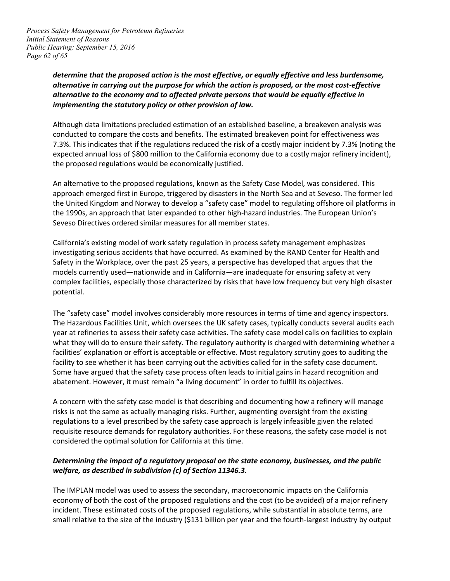*Page 62 of 65 Process Safety Management for Petroleum Refineries Initial Statement of Reasons Public Hearing: September 15, 2016* 

# *alternative in carrying out the purpose for which the action is proposed, or the most cost-effective alternative to the economy and to affected private persons that would be equally effective in implementing the statutory policy or other provision of law. determine that the proposed action is the most effective, or equally effective and less burdensome,*

 expected annual loss of \$800 million to the California economy due to a costly major refinery incident), Although data limitations precluded estimation of an established baseline, a breakeven analysis was conducted to compare the costs and benefits. The estimated breakeven point for effectiveness was 7.3%. This indicates that if the regulations reduced the risk of a costly major incident by 7.3% (noting the the proposed regulations would be economically justified.

 An alternative to the proposed regulations, known as the Safety Case Model, was considered. This approach emerged first in Europe, triggered by disasters in the North Sea and at Seveso. The former led the United Kingdom and Norway to develop a "safety case" model to regulating offshore oil platforms in Seveso Directives ordered similar measures for all member states. the 1990s, an approach that later expanded to other high-hazard industries. The European Union's

 models currently used—nationwide and in California—are inadequate for ensuring safety at very California's existing model of work safety regulation in process safety management emphasizes investigating serious accidents that have occurred. As examined by the RAND Center for Health and Safety in the Workplace, over the past 25 years, a perspective has developed that argues that the complex facilities, especially those characterized by risks that have low frequency but very high disaster potential.

 The Hazardous Facilities Unit, which oversees the UK safety cases, typically conducts several audits each year at refineries to assess their safety case activities. The safety case model calls on facilities to explain what they will do to ensure their safety. The regulatory authority is charged with determining whether a facilities' explanation or effort is acceptable or effective. Most regulatory scrutiny goes to auditing the Some have argued that the safety case process often leads to initial gains in hazard recognition and The "safety case" model involves considerably more resources in terms of time and agency inspectors. facility to see whether it has been carrying out the activities called for in the safety case document. abatement. However, it must remain "a living document" in order to fulfill its objectives.

 A concern with the safety case model is that describing and documenting how a refinery will manage risks is not the same as actually managing risks. Further, augmenting oversight from the existing regulations to a level prescribed by the safety case approach is largely infeasible given the related requisite resource demands for regulatory authorities. For these reasons, the safety case model is not considered the optimal solution for California at this time.

# *Determining the impact of a regulatory proposal on the state economy, businesses, and the public welfare, as described in subdivision (c) of Section 11346.3.*

 incident. These estimated costs of the proposed regulations, while substantial in absolute terms, are small relative to the size of the industry (\$131 billion per year and the fourth-largest industry by output The IMPLAN model was used to assess the secondary, macroeconomic impacts on the California economy of both the cost of the proposed regulations and the cost (to be avoided) of a major refinery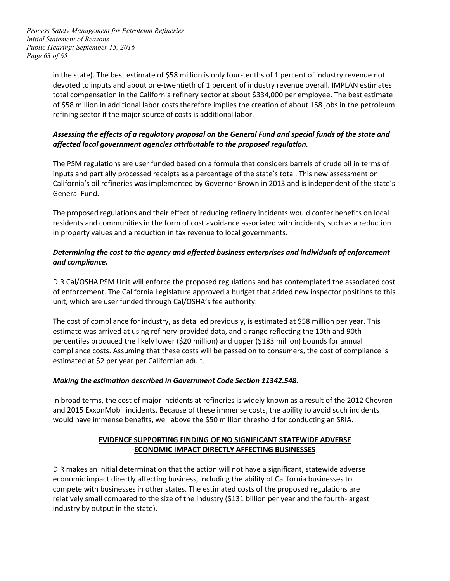*Page 63 of 65 Process Safety Management for Petroleum Refineries Initial Statement of Reasons Public Hearing: September 15, 2016* 

> in the state). The best estimate of \$58 million is only four-tenths of 1 percent of industry revenue not devoted to inputs and about one-twentieth of 1 percent of industry revenue overall. IMPLAN estimates total compensation in the California refinery sector at about \$334,000 per employee. The best estimate of \$58 million in additional labor costs therefore implies the creation of about 158 jobs in the petroleum refining sector if the major source of costs is additional labor.

# *Assessing the effects of a regulatory proposal on the General Fund and special funds of the state and affected local government agencies attributable to the proposed regulation.*

 The PSM regulations are user funded based on a formula that considers barrels of crude oil in terms of inputs and partially processed receipts as a percentage of the state's total. This new assessment on General Fund. California's oil refineries was implemented by Governor Brown in 2013 and is independent of the state's

General Fund.<br>The proposed regulations and their effect of reducing refinery incidents would confer benefits on local residents and communities in the form of cost avoidance associated with incidents, such as a reduction in property values and a reduction in tax revenue to local governments.

# *Determining the cost to the agency and affected business enterprises and individuals of enforcement and compliance.*

 DIR Cal/OSHA PSM Unit will enforce the proposed regulations and has contemplated the associated cost of enforcement. The California Legislature approved a budget that added new inspector positions to this unit, which are user funded through Cal/OSHA's fee authority.

 estimate was arrived at using refinery-provided data, and a range reflecting the 10th and 90th compliance costs. Assuming that these costs will be passed on to consumers, the cost of compliance is estimated at \$2 per year per Californian adult. The cost of compliance for industry, as detailed previously, is estimated at \$58 million per year. This percentiles produced the likely lower (\$20 million) and upper (\$183 million) bounds for annual

# *Making the estimation described in Government Code Section 11342.548.*

 and 2015 ExxonMobil incidents. Because of these immense costs, the ability to avoid such incidents In broad terms, the cost of major incidents at refineries is widely known as a result of the 2012 Chevron would have immense benefits, well above the \$50 million threshold for conducting an SRIA.

# **EVIDENCE SUPPORTING FINDING OF NO SIGNIFICANT STATEWIDE ADVERSE ECONOMIC IMPACT DIRECTLY AFFECTING BUSINESSES**

 economic impact directly affecting business, including the ability of California businesses to industry by output in the state). DIR makes an initial determination that the action will not have a significant, statewide adverse compete with businesses in other states. The estimated costs of the proposed regulations are relatively small compared to the size of the industry (\$131 billion per year and the fourth-largest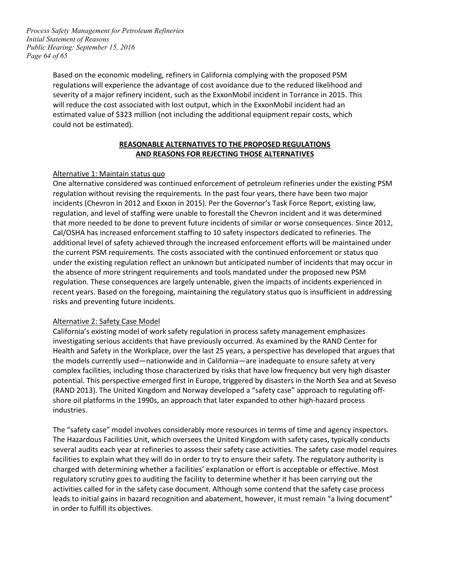*Page 64 of 65 Process Safety Management for Petroleum Refineries Initial Statement of Reasons Public Hearing: September 15, 2016* 

> Based on the economic modeling, refiners in California complying with the proposed PSM will reduce the cost associated with lost output, which in the ExxonMobil incident had an could not be estimated). regulations will experience the advantage of cost avoidance due to the reduced likelihood and severity of a major refinery incident, such as the ExxonMobil incident in Torrance in 2015. This estimated value of \$323 million (not including the additional equipment repair costs, which

#### **REASONABLE ALTERNATIVES TO THE PROPOSED REGULATIONS AND REASONS FOR REJECTING THOSE ALTERNATIVES**

# Alternative 1: Maintain status quo

 One alternative considered was continued enforcement of petroleum refineries under the existing PSM incidents (Chevron in 2012 and Exxon in 2015). Per the Governor's Task Force Report, existing law, Cal/OSHA has increased enforcement staffing to 10 safety inspectors dedicated to refineries. The additional level of safety achieved through the increased enforcement efforts will be maintained under under the existing regulation reflect an unknown but anticipated number of incidents that may occur in the absence of more stringent requirements and tools mandated under the proposed new PSM recent years. Based on the foregoing, maintaining the regulatory status quo is insufficient in addressing regulation without revising the requirements. In the past four years, there have been two major regulation, and level of staffing were unable to forestall the Chevron incident and it was determined that more needed to be done to prevent future incidents of similar or worse consequences. Since 2012, the current PSM requirements. The costs associated with the continued enforcement or status quo regulation. These consequences are largely untenable, given the impacts of incidents experienced in risks and preventing future incidents.

#### Alternative 2: Safety Case Model

 California's existing model of work safety regulation in process safety management emphasizes Health and Safety in the Workplace, over the last 25 years, a perspective has developed that argues that the models currently used—nationwide and in California—are inadequate to ensure safety at very (RAND 2013). The United Kingdom and Norway developed a "safety case" approach to regulating off- shore oil platforms in the 1990s, an approach that later expanded to other high-hazard process investigating serious accidents that have previously occurred. As examined by the RAND Center for complex facilities, including those characterized by risks that have low frequency but very high disaster potential. This perspective emerged first in Europe, triggered by disasters in the North Sea and at Seveso industries.

 The Hazardous Facilities Unit, which oversees the United Kingdom with safety cases, typically conducts several audits each year at refineries to assess their safety case activities. The safety case model requires facilities to explain what they will do in order to try to ensure their safety. The regulatory authority is charged with determining whether a facilities' explanation or effort is acceptable or effective. Most regulatory scrutiny goes to auditing the facility to determine whether it has been carrying out the in order to fulfill its objectives. The "safety case" model involves considerably more resources in terms of time and agency inspectors. activities called for in the safety case document. Although some contend that the safety case process leads to initial gains in hazard recognition and abatement, however, it must remain "a living document"